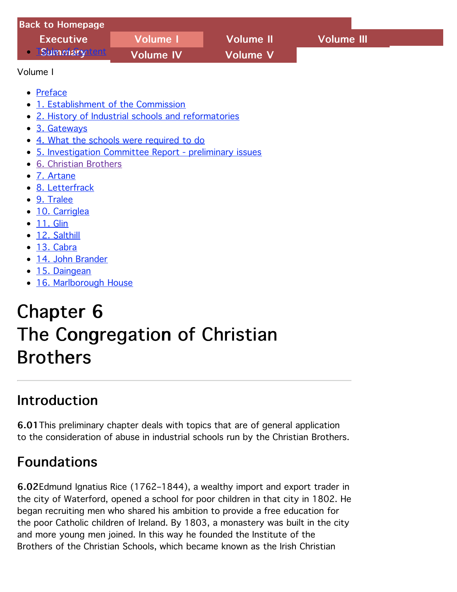| <b>Back to Homepage</b> |                  |                 |            |  |
|-------------------------|------------------|-----------------|------------|--|
| <b>Executive</b>        | <b>Nolume IV</b> | Volume II       | Volume III |  |
| <b>TSummaryntent</b>    | <b>Volume IV</b> | <b>Volume V</b> |            |  |

#### Volume I

- [Preface](http://www.childabusecommission.ie/rpt/preface.php)
- [1. Establishment of the Commission](http://www.childabusecommission.ie/rpt/01-01.php)
- [2. History of Industrial schools and reformatories](http://www.childabusecommission.ie/rpt/01-02.php)
- [3. Gateways](http://www.childabusecommission.ie/rpt/01-03.php)
- [4. What the schools were required to do](http://www.childabusecommission.ie/rpt/01-04.php)
- [5. Investigation Committee Report preliminary issues](http://www.childabusecommission.ie/rpt/01-05.php)
- [6. Christian Brothers](http://www.childabusecommission.ie/rpt/01-06.php)
- [7. Artane](http://www.childabusecommission.ie/rpt/01-07.php)
- [8. Letterfrack](http://www.childabusecommission.ie/rpt/01-08.php)
- [9. Tralee](http://www.childabusecommission.ie/rpt/01-09.php)
- [10. Carriglea](http://www.childabusecommission.ie/rpt/01-10.php)
- [11. Glin](http://www.childabusecommission.ie/rpt/01-11.php)
- [12. Salthill](http://www.childabusecommission.ie/rpt/01-12.php)
- [13. Cabra](http://www.childabusecommission.ie/rpt/01-13.php)
- [14. John Brander](http://www.childabusecommission.ie/rpt/01-14.php)
- [15. Daingean](http://www.childabusecommission.ie/rpt/01-15.php)
- [16. Marlborough House](http://www.childabusecommission.ie/rpt/01-16.php)

# Chapter 6 The Congregation of Christian **Brothers**

# Introduction

6.01This preliminary chapter deals with topics that are of general application to the consideration of abuse in industrial schools run by the Christian Brothers.

# **Foundations**

6.02Edmund Ignatius Rice (1762–1844), a wealthy import and export trader in the city of Waterford, opened a school for poor children in that city in 1802. He began recruiting men who shared his ambition to provide a free education for the poor Catholic children of Ireland. By 1803, a monastery was built in the city and more young men joined. In this way he founded the Institute of the Brothers of the Christian Schools, which became known as the Irish Christian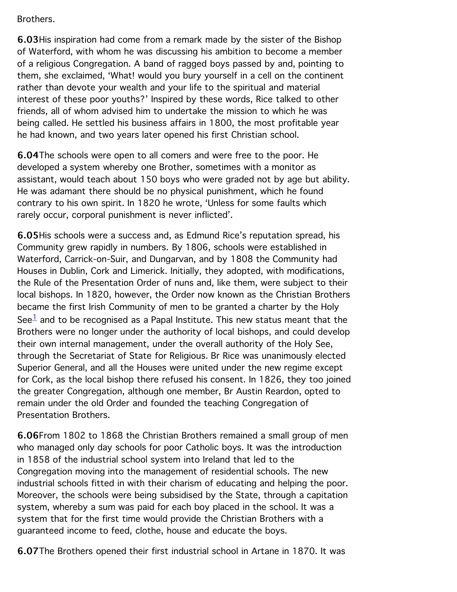Brothers.

6.03His inspiration had come from a remark made by the sister of the Bishop of Waterford, with whom he was discussing his ambition to become a member of a religious Congregation. A band of ragged boys passed by and, pointing to them, she exclaimed, 'What! would you bury yourself in a cell on the continent rather than devote your wealth and your life to the spiritual and material interest of these poor youths?' Inspired by these words, Rice talked to other friends, all of whom advised him to undertake the mission to which he was being called. He settled his business affairs in 1800, the most profitable year he had known, and two years later opened his first Christian school.

6.04The schools were open to all comers and were free to the poor. He developed a system whereby one Brother, sometimes with a monitor as assistant, would teach about 150 boys who were graded not by age but ability. He was adamant there should be no physical punishment, which he found contrary to his own spirit. In 1820 he wrote, 'Unless for some faults which rarely occur, corporal punishment is never inflicted'.

6.05His schools were a success and, as Edmund Rice's reputation spread, his Community grew rapidly in numbers. By 1806, schools were established in Waterford, Carrick-on-Suir, and Dungarvan, and by 1808 the Community had Houses in Dublin, Cork and Limerick. Initially, they adopted, with modifications, the Rule of the Presentation Order of nuns and, like them, were subject to their local bishops. In 1820, however, the Order now known as the Christian Brothers became the first Irish Community of men to be granted a charter by the Holy See $<sup>1</sup>$  and to be recognised as a Papal Institute. This new status meant that the</sup> Brothers were no longer under the authority of local bishops, and could develop their own internal management, under the overall authority of the Holy See, through the Secretariat of State for Religious. Br Rice was unanimously elected Superior General, and all the Houses were united under the new regime except for Cork, as the local bishop there refused his consent. In 1826, they too joined the greater Congregation, although one member, Br Austin Reardon, opted to remain under the old Order and founded the teaching Congregation of Presentation Brothers.

6.06From 1802 to 1868 the Christian Brothers remained a small group of men who managed only day schools for poor Catholic boys. It was the introduction in 1858 of the industrial school system into Ireland that led to the Congregation moving into the management of residential schools. The new industrial schools fitted in with their charism of educating and helping the poor. Moreover, the schools were being subsidised by the State, through a capitation system, whereby a sum was paid for each boy placed in the school. It was a system that for the first time would provide the Christian Brothers with a guaranteed income to feed, clothe, house and educate the boys.

6.07The Brothers opened their first industrial school in Artane in 1870. It was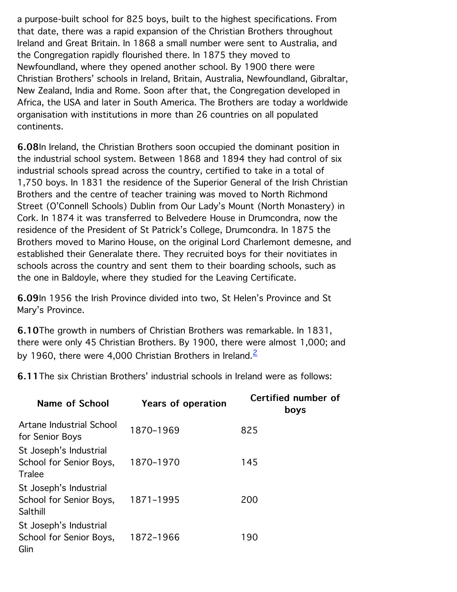a purpose-built school for 825 boys, built to the highest specifications. From that date, there was a rapid expansion of the Christian Brothers throughout Ireland and Great Britain. In 1868 a small number were sent to Australia, and the Congregation rapidly flourished there. In 1875 they moved to Newfoundland, where they opened another school. By 1900 there were Christian Brothers' schools in Ireland, Britain, Australia, Newfoundland, Gibraltar, New Zealand, India and Rome. Soon after that, the Congregation developed in Africa, the USA and later in South America. The Brothers are today a worldwide organisation with institutions in more than 26 countries on all populated continents.

6.08In Ireland, the Christian Brothers soon occupied the dominant position in the industrial school system. Between 1868 and 1894 they had control of six industrial schools spread across the country, certified to take in a total of 1,750 boys. In 1831 the residence of the Superior General of the Irish Christian Brothers and the centre of teacher training was moved to North Richmond Street (O'Connell Schools) Dublin from Our Lady's Mount (North Monastery) in Cork. In 1874 it was transferred to Belvedere House in Drumcondra, now the residence of the President of St Patrick's College, Drumcondra. In 1875 the Brothers moved to Marino House, on the original Lord Charlemont demesne, and established their Generalate there. They recruited boys for their novitiates in schools across the country and sent them to their boarding schools, such as the one in Baldoyle, where they studied for the Leaving Certificate.

6.09In 1956 the Irish Province divided into two, St Helen's Province and St Mary's Province.

6.10The growth in numbers of Christian Brothers was remarkable. In 1831, there were only 45 Christian Brothers. By 1900, there were almost 1,000; and by 1960, there were 4,000 Christian Brothers in Ireland.<sup>[2](http://www.childabusecommission.ie/rpt/01-06.php#ftn.id2)</sup>

6.11The six Christian Brothers' industrial schools in Ireland were as follows:

| Name of School                                                     | Years of operation | Certified number of<br>boys |
|--------------------------------------------------------------------|--------------------|-----------------------------|
| Artane Industrial School<br>for Senior Boys                        | 1870-1969          | 825                         |
| St Joseph's Industrial<br>School for Senior Boys,<br><b>Tralee</b> | 1870-1970          | 145                         |
| St Joseph's Industrial<br>School for Senior Boys,<br>Salthill      | 1871-1995          | 200                         |
| St Joseph's Industrial<br>School for Senior Boys,<br>Glin          | 1872-1966          | 190                         |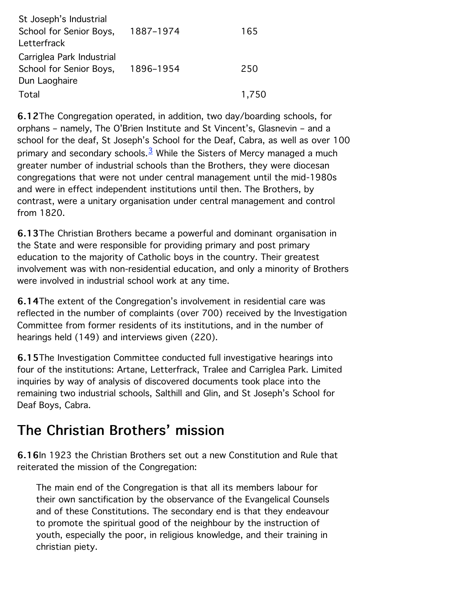| St Joseph's Industrial                 |           |       |
|----------------------------------------|-----------|-------|
| School for Senior Boys,<br>Letterfrack | 1887-1974 | 165   |
|                                        |           |       |
| Carriglea Park Industrial              |           |       |
| School for Senior Boys,                | 1896-1954 | 250   |
| Dun Laoghaire                          |           |       |
| Total                                  |           | 1,750 |

6.12The Congregation operated, in addition, two day/boarding schools, for orphans – namely, The O'Brien Institute and St Vincent's, Glasnevin – and a school for the deaf, St Joseph's School for the Deaf, Cabra, as well as over 100 primary and secondary schools. $3$  While the Sisters of Mercy managed a much greater number of industrial schools than the Brothers, they were diocesan congregations that were not under central management until the mid-1980s and were in effect independent institutions until then. The Brothers, by contrast, were a unitary organisation under central management and control from 1820.

6.13The Christian Brothers became a powerful and dominant organisation in the State and were responsible for providing primary and post primary education to the majority of Catholic boys in the country. Their greatest involvement was with non-residential education, and only a minority of Brothers were involved in industrial school work at any time.

6.14The extent of the Congregation's involvement in residential care was reflected in the number of complaints (over 700) received by the Investigation Committee from former residents of its institutions, and in the number of hearings held (149) and interviews given (220).

6.15The Investigation Committee conducted full investigative hearings into four of the institutions: Artane, Letterfrack, Tralee and Carriglea Park. Limited inquiries by way of analysis of discovered documents took place into the remaining two industrial schools, Salthill and Glin, and St Joseph's School for Deaf Boys, Cabra.

### The Christian Brothers' mission

6.16In 1923 the Christian Brothers set out a new Constitution and Rule that reiterated the mission of the Congregation:

The main end of the Congregation is that all its members labour for their own sanctification by the observance of the Evangelical Counsels and of these Constitutions. The secondary end is that they endeavour to promote the spiritual good of the neighbour by the instruction of youth, especially the poor, in religious knowledge, and their training in christian piety.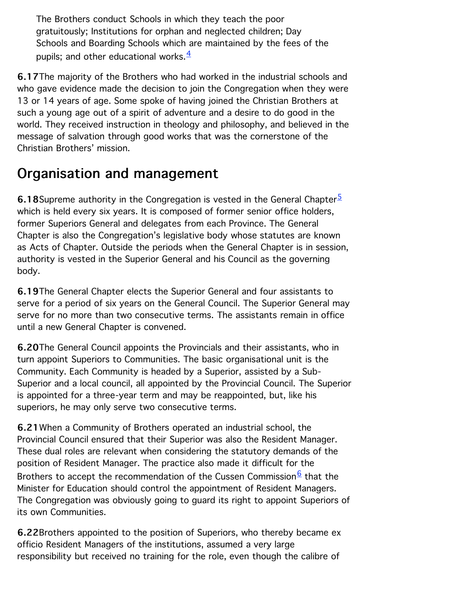The Brothers conduct Schools in which they teach the poor gratuitously; Institutions for orphan and neglected children; Day Schools and Boarding Schools which are maintained by the fees of the pupils; and other educational works. $4$ 

6.17The majority of the Brothers who had worked in the industrial schools and who gave evidence made the decision to join the Congregation when they were 13 or 14 years of age. Some spoke of having joined the Christian Brothers at such a young age out of a spirit of adventure and a desire to do good in the world. They received instruction in theology and philosophy, and believed in the message of salvation through good works that was the cornerstone of the Christian Brothers' mission.

### Organisation and management

**6.18** Supreme authority in the Congregation is vested in the General Chapter  $\frac{5}{5}$  $\frac{5}{5}$  $\frac{5}{5}$ which is held every six years. It is composed of former senior office holders, former Superiors General and delegates from each Province. The General Chapter is also the Congregation's legislative body whose statutes are known as Acts of Chapter. Outside the periods when the General Chapter is in session, authority is vested in the Superior General and his Council as the governing body.

6.19The General Chapter elects the Superior General and four assistants to serve for a period of six years on the General Council. The Superior General may serve for no more than two consecutive terms. The assistants remain in office until a new General Chapter is convened.

6.20The General Council appoints the Provincials and their assistants, who in turn appoint Superiors to Communities. The basic organisational unit is the Community. Each Community is headed by a Superior, assisted by a Sub-Superior and a local council, all appointed by the Provincial Council. The Superior is appointed for a three-year term and may be reappointed, but, like his superiors, he may only serve two consecutive terms.

6.21When a Community of Brothers operated an industrial school, the Provincial Council ensured that their Superior was also the Resident Manager. These dual roles are relevant when considering the statutory demands of the position of Resident Manager. The practice also made it difficult for the Brothers to accept the recommendation of the Cussen Commission<sup>[6](http://www.childabusecommission.ie/rpt/01-06.php#ftn.id6)</sup> that the Minister for Education should control the appointment of Resident Managers. The Congregation was obviously going to guard its right to appoint Superiors of its own Communities.

6.22Brothers appointed to the position of Superiors, who thereby became ex officio Resident Managers of the institutions, assumed a very large responsibility but received no training for the role, even though the calibre of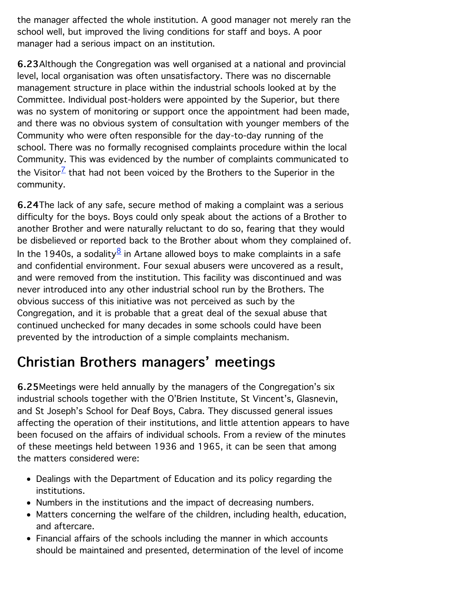the manager affected the whole institution. A good manager not merely ran the school well, but improved the living conditions for staff and boys. A poor manager had a serious impact on an institution.

6.23Although the Congregation was well organised at a national and provincial level, local organisation was often unsatisfactory. There was no discernable management structure in place within the industrial schools looked at by the Committee. Individual post-holders were appointed by the Superior, but there was no system of monitoring or support once the appointment had been made, and there was no obvious system of consultation with younger members of the Community who were often responsible for the day-to-day running of the school. There was no formally recognised complaints procedure within the local Community. This was evidenced by the number of complaints communicated to the Visitor<sup> $Z$ </sup> that had not been voiced by the Brothers to the Superior in the community.

6.24The lack of any safe, secure method of making a complaint was a serious difficulty for the boys. Boys could only speak about the actions of a Brother to another Brother and were naturally reluctant to do so, fearing that they would be disbelieved or reported back to the Brother about whom they complained of. In the 1940s, a sodality $8$  in Artane allowed boys to make complaints in a safe and confidential environment. Four sexual abusers were uncovered as a result, and were removed from the institution. This facility was discontinued and was never introduced into any other industrial school run by the Brothers. The obvious success of this initiative was not perceived as such by the Congregation, and it is probable that a great deal of the sexual abuse that continued unchecked for many decades in some schools could have been prevented by the introduction of a simple complaints mechanism.

# Christian Brothers managers' meetings

6.25Meetings were held annually by the managers of the Congregation's six industrial schools together with the O'Brien Institute, St Vincent's, Glasnevin, and St Joseph's School for Deaf Boys, Cabra. They discussed general issues affecting the operation of their institutions, and little attention appears to have been focused on the affairs of individual schools. From a review of the minutes of these meetings held between 1936 and 1965, it can be seen that among the matters considered were:

- Dealings with the Department of Education and its policy regarding the institutions.
- Numbers in the institutions and the impact of decreasing numbers.
- Matters concerning the welfare of the children, including health, education, and aftercare.
- Financial affairs of the schools including the manner in which accounts should be maintained and presented, determination of the level of income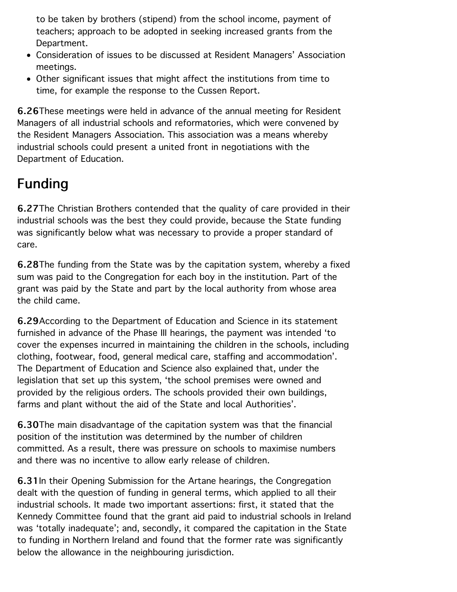to be taken by brothers (stipend) from the school income, payment of teachers; approach to be adopted in seeking increased grants from the Department.

- Consideration of issues to be discussed at Resident Managers' Association meetings.
- Other significant issues that might affect the institutions from time to time, for example the response to the Cussen Report.

6.26These meetings were held in advance of the annual meeting for Resident Managers of all industrial schools and reformatories, which were convened by the Resident Managers Association. This association was a means whereby industrial schools could present a united front in negotiations with the Department of Education.

# **Funding**

6.27The Christian Brothers contended that the quality of care provided in their industrial schools was the best they could provide, because the State funding was significantly below what was necessary to provide a proper standard of care.

6.28The funding from the State was by the capitation system, whereby a fixed sum was paid to the Congregation for each boy in the institution. Part of the grant was paid by the State and part by the local authority from whose area the child came.

6.29According to the Department of Education and Science in its statement furnished in advance of the Phase III hearings, the payment was intended 'to cover the expenses incurred in maintaining the children in the schools, including clothing, footwear, food, general medical care, staffing and accommodation'. The Department of Education and Science also explained that, under the legislation that set up this system, 'the school premises were owned and provided by the religious orders. The schools provided their own buildings, farms and plant without the aid of the State and local Authorities'.

6.30The main disadvantage of the capitation system was that the financial position of the institution was determined by the number of children committed. As a result, there was pressure on schools to maximise numbers and there was no incentive to allow early release of children.

6.31In their Opening Submission for the Artane hearings, the Congregation dealt with the question of funding in general terms, which applied to all their industrial schools. It made two important assertions: first, it stated that the Kennedy Committee found that the grant aid paid to industrial schools in Ireland was 'totally inadequate'; and, secondly, it compared the capitation in the State to funding in Northern Ireland and found that the former rate was significantly below the allowance in the neighbouring jurisdiction.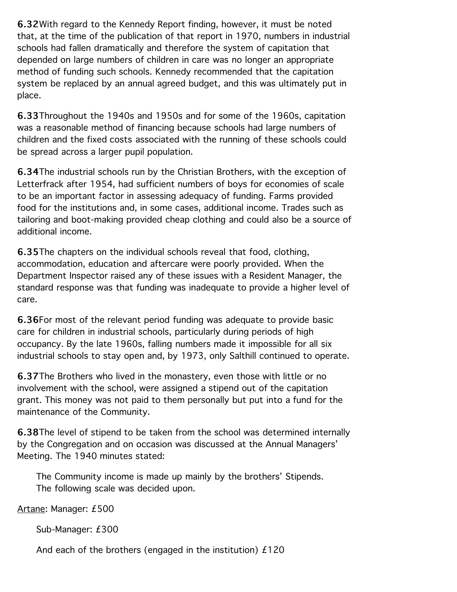6.32With regard to the Kennedy Report finding, however, it must be noted that, at the time of the publication of that report in 1970, numbers in industrial schools had fallen dramatically and therefore the system of capitation that depended on large numbers of children in care was no longer an appropriate method of funding such schools. Kennedy recommended that the capitation system be replaced by an annual agreed budget, and this was ultimately put in place.

6.33Throughout the 1940s and 1950s and for some of the 1960s, capitation was a reasonable method of financing because schools had large numbers of children and the fixed costs associated with the running of these schools could be spread across a larger pupil population.

6.34The industrial schools run by the Christian Brothers, with the exception of Letterfrack after 1954, had sufficient numbers of boys for economies of scale to be an important factor in assessing adequacy of funding. Farms provided food for the institutions and, in some cases, additional income. Trades such as tailoring and boot-making provided cheap clothing and could also be a source of additional income.

6.35The chapters on the individual schools reveal that food, clothing, accommodation, education and aftercare were poorly provided. When the Department Inspector raised any of these issues with a Resident Manager, the standard response was that funding was inadequate to provide a higher level of care.

6.36For most of the relevant period funding was adequate to provide basic care for children in industrial schools, particularly during periods of high occupancy. By the late 1960s, falling numbers made it impossible for all six industrial schools to stay open and, by 1973, only Salthill continued to operate.

6.37The Brothers who lived in the monastery, even those with little or no involvement with the school, were assigned a stipend out of the capitation grant. This money was not paid to them personally but put into a fund for the maintenance of the Community.

6.38The level of stipend to be taken from the school was determined internally by the Congregation and on occasion was discussed at the Annual Managers' Meeting. The 1940 minutes stated:

The Community income is made up mainly by the brothers' Stipends. The following scale was decided upon.

Artane: Manager: £500

Sub-Manager: £300

And each of the brothers (engaged in the institution)  $£120$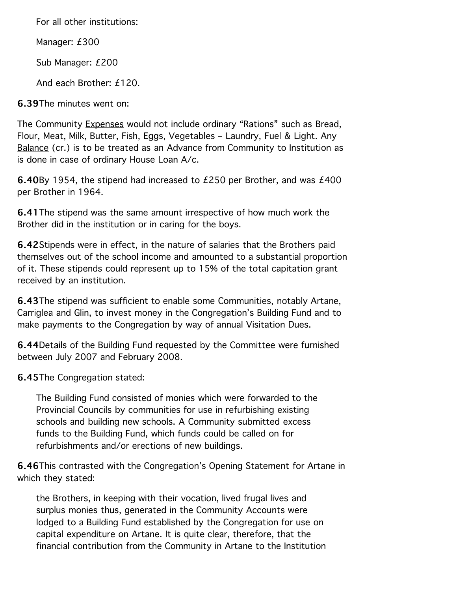For all other institutions:

Manager: £300

Sub Manager: £200

And each Brother: £120.

6.39The minutes went on:

The Community Expenses would not include ordinary "Rations" such as Bread, Flour, Meat, Milk, Butter, Fish, Eggs, Vegetables – Laundry, Fuel & Light. Any Balance (cr.) is to be treated as an Advance from Community to Institution as is done in case of ordinary House Loan A/c.

6.40By 1954, the stipend had increased to £250 per Brother, and was £400 per Brother in 1964.

6.41The stipend was the same amount irrespective of how much work the Brother did in the institution or in caring for the boys.

6.42Stipends were in effect, in the nature of salaries that the Brothers paid themselves out of the school income and amounted to a substantial proportion of it. These stipends could represent up to 15% of the total capitation grant received by an institution.

6.43The stipend was sufficient to enable some Communities, notably Artane, Carriglea and Glin, to invest money in the Congregation's Building Fund and to make payments to the Congregation by way of annual Visitation Dues.

6.44Details of the Building Fund requested by the Committee were furnished between July 2007 and February 2008.

6.45The Congregation stated:

The Building Fund consisted of monies which were forwarded to the Provincial Councils by communities for use in refurbishing existing schools and building new schools. A Community submitted excess funds to the Building Fund, which funds could be called on for refurbishments and/or erections of new buildings.

6.46This contrasted with the Congregation's Opening Statement for Artane in which they stated:

the Brothers, in keeping with their vocation, lived frugal lives and surplus monies thus, generated in the Community Accounts were lodged to a Building Fund established by the Congregation for use on capital expenditure on Artane. It is quite clear, therefore, that the financial contribution from the Community in Artane to the Institution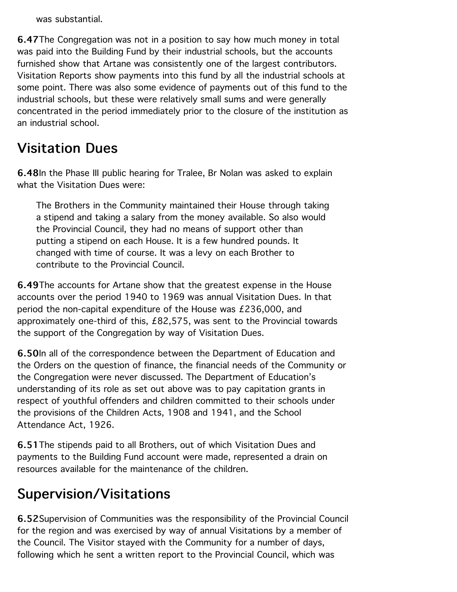was substantial.

6.47The Congregation was not in a position to say how much money in total was paid into the Building Fund by their industrial schools, but the accounts furnished show that Artane was consistently one of the largest contributors. Visitation Reports show payments into this fund by all the industrial schools at some point. There was also some evidence of payments out of this fund to the industrial schools, but these were relatively small sums and were generally concentrated in the period immediately prior to the closure of the institution as an industrial school.

### **Visitation Dues**

6.48In the Phase III public hearing for Tralee, Br Nolan was asked to explain what the Visitation Dues were:

The Brothers in the Community maintained their House through taking a stipend and taking a salary from the money available. So also would the Provincial Council, they had no means of support other than putting a stipend on each House. It is a few hundred pounds. It changed with time of course. It was a levy on each Brother to contribute to the Provincial Council.

6.49The accounts for Artane show that the greatest expense in the House accounts over the period 1940 to 1969 was annual Visitation Dues. In that period the non-capital expenditure of the House was £236,000, and approximately one-third of this, £82,575, was sent to the Provincial towards the support of the Congregation by way of Visitation Dues.

6.50In all of the correspondence between the Department of Education and the Orders on the question of finance, the financial needs of the Community or the Congregation were never discussed. The Department of Education's understanding of its role as set out above was to pay capitation grants in respect of youthful offenders and children committed to their schools under the provisions of the Children Acts, 1908 and 1941, and the School Attendance Act, 1926.

6.51The stipends paid to all Brothers, out of which Visitation Dues and payments to the Building Fund account were made, represented a drain on resources available for the maintenance of the children.

# Supervision/Visitations

6.52Supervision of Communities was the responsibility of the Provincial Council for the region and was exercised by way of annual Visitations by a member of the Council. The Visitor stayed with the Community for a number of days, following which he sent a written report to the Provincial Council, which was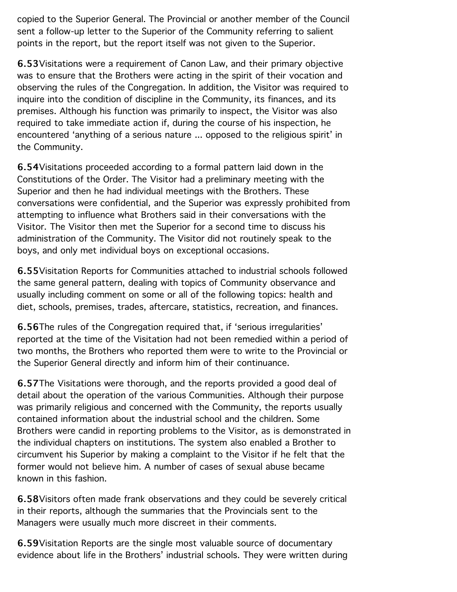copied to the Superior General. The Provincial or another member of the Council sent a follow-up letter to the Superior of the Community referring to salient points in the report, but the report itself was not given to the Superior.

6.53Visitations were a requirement of Canon Law, and their primary objective was to ensure that the Brothers were acting in the spirit of their vocation and observing the rules of the Congregation. In addition, the Visitor was required to inquire into the condition of discipline in the Community, its finances, and its premises. Although his function was primarily to inspect, the Visitor was also required to take immediate action if, during the course of his inspection, he encountered 'anything of a serious nature ... opposed to the religious spirit' in the Community.

6.54Visitations proceeded according to a formal pattern laid down in the Constitutions of the Order. The Visitor had a preliminary meeting with the Superior and then he had individual meetings with the Brothers. These conversations were confidential, and the Superior was expressly prohibited from attempting to influence what Brothers said in their conversations with the Visitor. The Visitor then met the Superior for a second time to discuss his administration of the Community. The Visitor did not routinely speak to the boys, and only met individual boys on exceptional occasions.

6.55Visitation Reports for Communities attached to industrial schools followed the same general pattern, dealing with topics of Community observance and usually including comment on some or all of the following topics: health and diet, schools, premises, trades, aftercare, statistics, recreation, and finances.

6.56The rules of the Congregation required that, if 'serious irregularities' reported at the time of the Visitation had not been remedied within a period of two months, the Brothers who reported them were to write to the Provincial or the Superior General directly and inform him of their continuance.

6.57The Visitations were thorough, and the reports provided a good deal of detail about the operation of the various Communities. Although their purpose was primarily religious and concerned with the Community, the reports usually contained information about the industrial school and the children. Some Brothers were candid in reporting problems to the Visitor, as is demonstrated in the individual chapters on institutions. The system also enabled a Brother to circumvent his Superior by making a complaint to the Visitor if he felt that the former would not believe him. A number of cases of sexual abuse became known in this fashion.

6.58Visitors often made frank observations and they could be severely critical in their reports, although the summaries that the Provincials sent to the Managers were usually much more discreet in their comments.

6.59Visitation Reports are the single most valuable source of documentary evidence about life in the Brothers' industrial schools. They were written during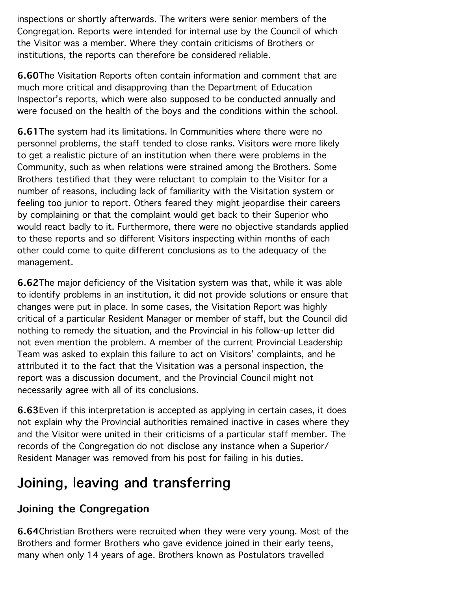inspections or shortly afterwards. The writers were senior members of the Congregation. Reports were intended for internal use by the Council of which the Visitor was a member. Where they contain criticisms of Brothers or institutions, the reports can therefore be considered reliable.

6.60The Visitation Reports often contain information and comment that are much more critical and disapproving than the Department of Education Inspector's reports, which were also supposed to be conducted annually and were focused on the health of the boys and the conditions within the school.

6.61The system had its limitations. In Communities where there were no personnel problems, the staff tended to close ranks. Visitors were more likely to get a realistic picture of an institution when there were problems in the Community, such as when relations were strained among the Brothers. Some Brothers testified that they were reluctant to complain to the Visitor for a number of reasons, including lack of familiarity with the Visitation system or feeling too junior to report. Others feared they might jeopardise their careers by complaining or that the complaint would get back to their Superior who would react badly to it. Furthermore, there were no objective standards applied to these reports and so different Visitors inspecting within months of each other could come to quite different conclusions as to the adequacy of the management.

6.62The major deficiency of the Visitation system was that, while it was able to identify problems in an institution, it did not provide solutions or ensure that changes were put in place. In some cases, the Visitation Report was highly critical of a particular Resident Manager or member of staff, but the Council did nothing to remedy the situation, and the Provincial in his follow-up letter did not even mention the problem. A member of the current Provincial Leadership Team was asked to explain this failure to act on Visitors' complaints, and he attributed it to the fact that the Visitation was a personal inspection, the report was a discussion document, and the Provincial Council might not necessarily agree with all of its conclusions.

6.63Even if this interpretation is accepted as applying in certain cases, it does not explain why the Provincial authorities remained inactive in cases where they and the Visitor were united in their criticisms of a particular staff member. The records of the Congregation do not disclose any instance when a Superior/ Resident Manager was removed from his post for failing in his duties.

# Joining, leaving and transferring

### Joining the Congregation

6.64Christian Brothers were recruited when they were very young. Most of the Brothers and former Brothers who gave evidence joined in their early teens, many when only 14 years of age. Brothers known as Postulators travelled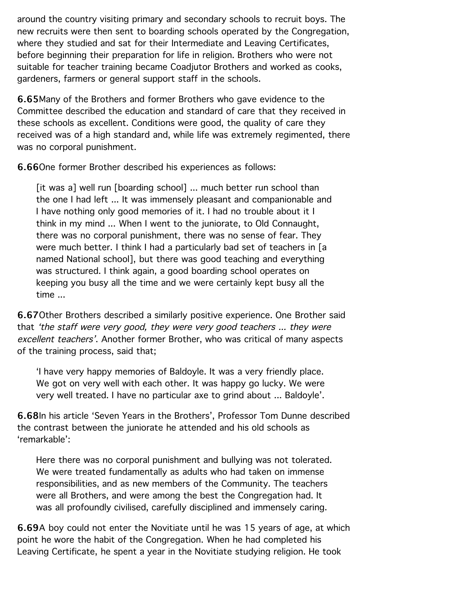around the country visiting primary and secondary schools to recruit boys. The new recruits were then sent to boarding schools operated by the Congregation, where they studied and sat for their Intermediate and Leaving Certificates, before beginning their preparation for life in religion. Brothers who were not suitable for teacher training became Coadjutor Brothers and worked as cooks, gardeners, farmers or general support staff in the schools.

6.65Many of the Brothers and former Brothers who gave evidence to the Committee described the education and standard of care that they received in these schools as excellent. Conditions were good, the quality of care they received was of a high standard and, while life was extremely regimented, there was no corporal punishment.

6.66One former Brother described his experiences as follows:

[it was a] well run [boarding school] ... much better run school than the one I had left ... It was immensely pleasant and companionable and I have nothing only good memories of it. I had no trouble about it I think in my mind ... When I went to the juniorate, to Old Connaught, there was no corporal punishment, there was no sense of fear. They were much better. I think I had a particularly bad set of teachers in [a named National school], but there was good teaching and everything was structured. I think again, a good boarding school operates on keeping you busy all the time and we were certainly kept busy all the time ...

6.67Other Brothers described a similarly positive experience. One Brother said that 'the staff were very good, they were very good teachers ... they were excellent teachers'. Another former Brother, who was critical of many aspects of the training process, said that;

'I have very happy memories of Baldoyle. It was a very friendly place. We got on very well with each other. It was happy go lucky. We were very well treated. I have no particular axe to grind about ... Baldoyle'.

6.68In his article 'Seven Years in the Brothers', Professor Tom Dunne described the contrast between the juniorate he attended and his old schools as 'remarkable':

Here there was no corporal punishment and bullying was not tolerated. We were treated fundamentally as adults who had taken on immense responsibilities, and as new members of the Community. The teachers were all Brothers, and were among the best the Congregation had. It was all profoundly civilised, carefully disciplined and immensely caring.

6.69A boy could not enter the Novitiate until he was 15 years of age, at which point he wore the habit of the Congregation. When he had completed his Leaving Certificate, he spent a year in the Novitiate studying religion. He took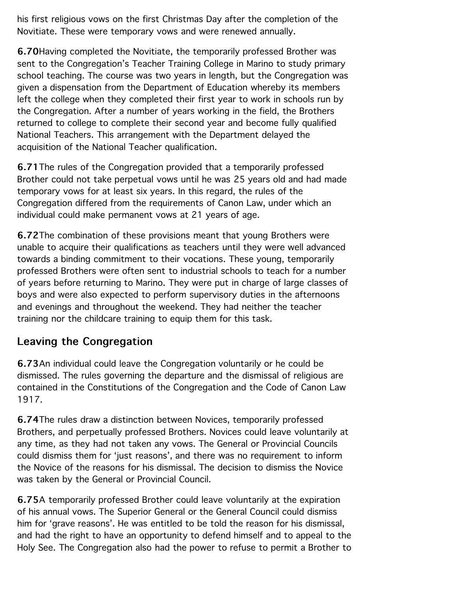his first religious vows on the first Christmas Day after the completion of the Novitiate. These were temporary vows and were renewed annually.

6.70Having completed the Novitiate, the temporarily professed Brother was sent to the Congregation's Teacher Training College in Marino to study primary school teaching. The course was two years in length, but the Congregation was given a dispensation from the Department of Education whereby its members left the college when they completed their first year to work in schools run by the Congregation. After a number of years working in the field, the Brothers returned to college to complete their second year and become fully qualified National Teachers. This arrangement with the Department delayed the acquisition of the National Teacher qualification.

6.71The rules of the Congregation provided that a temporarily professed Brother could not take perpetual vows until he was 25 years old and had made temporary vows for at least six years. In this regard, the rules of the Congregation differed from the requirements of Canon Law, under which an individual could make permanent vows at 21 years of age.

6.72The combination of these provisions meant that young Brothers were unable to acquire their qualifications as teachers until they were well advanced towards a binding commitment to their vocations. These young, temporarily professed Brothers were often sent to industrial schools to teach for a number of years before returning to Marino. They were put in charge of large classes of boys and were also expected to perform supervisory duties in the afternoons and evenings and throughout the weekend. They had neither the teacher training nor the childcare training to equip them for this task.

### Leaving the Congregation

6.73An individual could leave the Congregation voluntarily or he could be dismissed. The rules governing the departure and the dismissal of religious are contained in the Constitutions of the Congregation and the Code of Canon Law 1917.

6.74The rules draw a distinction between Novices, temporarily professed Brothers, and perpetually professed Brothers. Novices could leave voluntarily at any time, as they had not taken any vows. The General or Provincial Councils could dismiss them for 'just reasons', and there was no requirement to inform the Novice of the reasons for his dismissal. The decision to dismiss the Novice was taken by the General or Provincial Council.

6.75A temporarily professed Brother could leave voluntarily at the expiration of his annual vows. The Superior General or the General Council could dismiss him for 'grave reasons'. He was entitled to be told the reason for his dismissal, and had the right to have an opportunity to defend himself and to appeal to the Holy See. The Congregation also had the power to refuse to permit a Brother to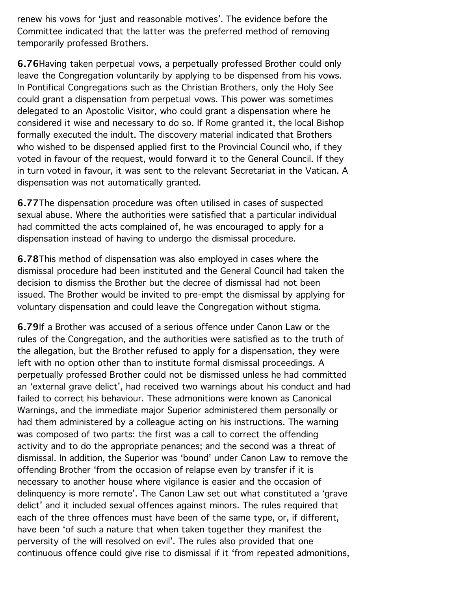renew his vows for 'just and reasonable motives'. The evidence before the Committee indicated that the latter was the preferred method of removing temporarily professed Brothers.

6.76Having taken perpetual vows, a perpetually professed Brother could only leave the Congregation voluntarily by applying to be dispensed from his vows. In Pontifical Congregations such as the Christian Brothers, only the Holy See could grant a dispensation from perpetual vows. This power was sometimes delegated to an Apostolic Visitor, who could grant a dispensation where he considered it wise and necessary to do so. If Rome granted it, the local Bishop formally executed the indult. The discovery material indicated that Brothers who wished to be dispensed applied first to the Provincial Council who, if they voted in favour of the request, would forward it to the General Council. If they in turn voted in favour, it was sent to the relevant Secretariat in the Vatican. A dispensation was not automatically granted.

6.77The dispensation procedure was often utilised in cases of suspected sexual abuse. Where the authorities were satisfied that a particular individual had committed the acts complained of, he was encouraged to apply for a dispensation instead of having to undergo the dismissal procedure.

6.78This method of dispensation was also employed in cases where the dismissal procedure had been instituted and the General Council had taken the decision to dismiss the Brother but the decree of dismissal had not been issued. The Brother would be invited to pre-empt the dismissal by applying for voluntary dispensation and could leave the Congregation without stigma.

6.79If a Brother was accused of a serious offence under Canon Law or the rules of the Congregation, and the authorities were satisfied as to the truth of the allegation, but the Brother refused to apply for a dispensation, they were left with no option other than to institute formal dismissal proceedings. A perpetually professed Brother could not be dismissed unless he had committed an 'external grave delict', had received two warnings about his conduct and had failed to correct his behaviour. These admonitions were known as Canonical Warnings, and the immediate major Superior administered them personally or had them administered by a colleague acting on his instructions. The warning was composed of two parts: the first was a call to correct the offending activity and to do the appropriate penances; and the second was a threat of dismissal. In addition, the Superior was 'bound' under Canon Law to remove the offending Brother 'from the occasion of relapse even by transfer if it is necessary to another house where vigilance is easier and the occasion of delinquency is more remote'. The Canon Law set out what constituted a 'grave delict' and it included sexual offences against minors. The rules required that each of the three offences must have been of the same type, or, if different, have been 'of such a nature that when taken together they manifest the perversity of the will resolved on evil'. The rules also provided that one continuous offence could give rise to dismissal if it 'from repeated admonitions,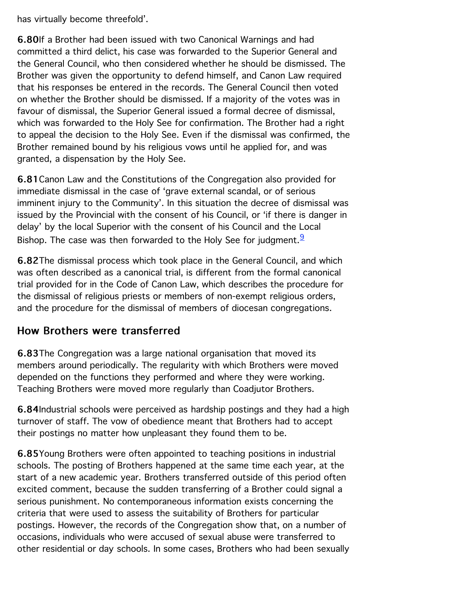has virtually become threefold'.

6.80If a Brother had been issued with two Canonical Warnings and had committed a third delict, his case was forwarded to the Superior General and the General Council, who then considered whether he should be dismissed. The Brother was given the opportunity to defend himself, and Canon Law required that his responses be entered in the records. The General Council then voted on whether the Brother should be dismissed. If a majority of the votes was in favour of dismissal, the Superior General issued a formal decree of dismissal, which was forwarded to the Holy See for confirmation. The Brother had a right to appeal the decision to the Holy See. Even if the dismissal was confirmed, the Brother remained bound by his religious vows until he applied for, and was granted, a dispensation by the Holy See.

6.81Canon Law and the Constitutions of the Congregation also provided for immediate dismissal in the case of 'grave external scandal, or of serious imminent injury to the Community'. In this situation the decree of dismissal was issued by the Provincial with the consent of his Council, or 'if there is danger in delay' by the local Superior with the consent of his Council and the Local Bishop. The case was then forwarded to the Holy See for judgment.  $9$ 

6.82The dismissal process which took place in the General Council, and which was often described as a canonical trial, is different from the formal canonical trial provided for in the Code of Canon Law, which describes the procedure for the dismissal of religious priests or members of non-exempt religious orders, and the procedure for the dismissal of members of diocesan congregations.

### How Brothers were transferred

6.83The Congregation was a large national organisation that moved its members around periodically. The regularity with which Brothers were moved depended on the functions they performed and where they were working. Teaching Brothers were moved more regularly than Coadjutor Brothers.

6.84Industrial schools were perceived as hardship postings and they had a high turnover of staff. The vow of obedience meant that Brothers had to accept their postings no matter how unpleasant they found them to be.

6.85Young Brothers were often appointed to teaching positions in industrial schools. The posting of Brothers happened at the same time each year, at the start of a new academic year. Brothers transferred outside of this period often excited comment, because the sudden transferring of a Brother could signal a serious punishment. No contemporaneous information exists concerning the criteria that were used to assess the suitability of Brothers for particular postings. However, the records of the Congregation show that, on a number of occasions, individuals who were accused of sexual abuse were transferred to other residential or day schools. In some cases, Brothers who had been sexually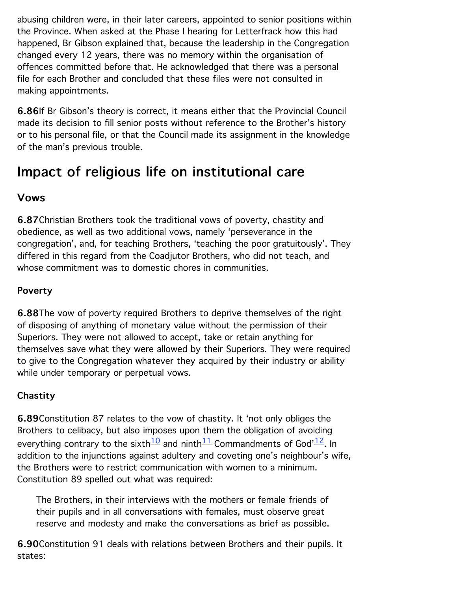abusing children were, in their later careers, appointed to senior positions within the Province. When asked at the Phase I hearing for Letterfrack how this had happened, Br Gibson explained that, because the leadership in the Congregation changed every 12 years, there was no memory within the organisation of offences committed before that. He acknowledged that there was a personal file for each Brother and concluded that these files were not consulted in making appointments.

6.86If Br Gibson's theory is correct, it means either that the Provincial Council made its decision to fill senior posts without reference to the Brother's history or to his personal file, or that the Council made its assignment in the knowledge of the man's previous trouble.

# Impact of religious life on institutional care

### Vows

6.87Christian Brothers took the traditional vows of poverty, chastity and obedience, as well as two additional vows, namely 'perseverance in the congregation', and, for teaching Brothers, 'teaching the poor gratuitously'. They differed in this regard from the Coadjutor Brothers, who did not teach, and whose commitment was to domestic chores in communities.

#### **Poverty**

6.88The vow of poverty required Brothers to deprive themselves of the right of disposing of anything of monetary value without the permission of their Superiors. They were not allowed to accept, take or retain anything for themselves save what they were allowed by their Superiors. They were required to give to the Congregation whatever they acquired by their industry or ability while under temporary or perpetual vows.

#### **Chastity**

6.89Constitution 87 relates to the vow of chastity. It 'not only obliges the Brothers to celibacy, but also imposes upon them the obligation of avoiding everything contrary to the sixth<sup>10</sup> and ninth<sup>[11](http://www.childabusecommission.ie/rpt/01-06.php#ftn.id11)</sup> Commandments of God'<sup>[12](http://www.childabusecommission.ie/rpt/01-06.php#ftn.id12)</sup>. In addition to the injunctions against adultery and coveting one's neighbour's wife, the Brothers were to restrict communication with women to a minimum. Constitution 89 spelled out what was required:

The Brothers, in their interviews with the mothers or female friends of their pupils and in all conversations with females, must observe great reserve and modesty and make the conversations as brief as possible.

6.90Constitution 91 deals with relations between Brothers and their pupils. It states: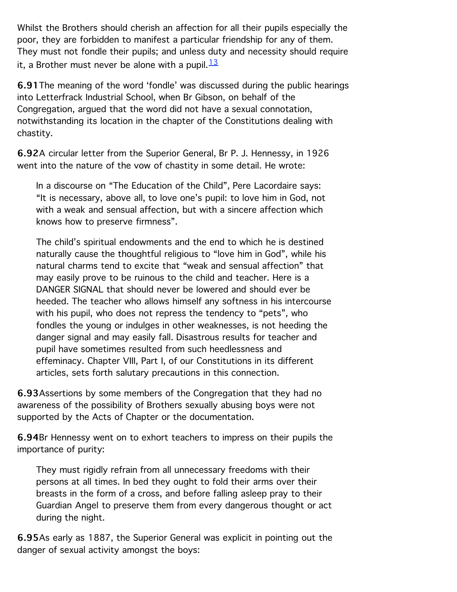Whilst the Brothers should cherish an affection for all their pupils especially the poor, they are forbidden to manifest a particular friendship for any of them. They must not fondle their pupils; and unless duty and necessity should require it, a Brother must never be alone with a pupil.  $\frac{13}{1}$  $\frac{13}{1}$  $\frac{13}{1}$ 

6.91The meaning of the word 'fondle' was discussed during the public hearings into Letterfrack Industrial School, when Br Gibson, on behalf of the Congregation, argued that the word did not have a sexual connotation, notwithstanding its location in the chapter of the Constitutions dealing with chastity.

6.92A circular letter from the Superior General, Br P. J. Hennessy, in 1926 went into the nature of the vow of chastity in some detail. He wrote:

In a discourse on "The Education of the Child", Pere Lacordaire says: "It is necessary, above all, to love one's pupil: to love him in God, not with a weak and sensual affection, but with a sincere affection which knows how to preserve firmness".

The child's spiritual endowments and the end to which he is destined naturally cause the thoughtful religious to "love him in God", while his natural charms tend to excite that "weak and sensual affection" that may easily prove to be ruinous to the child and teacher. Here is a DANGER SIGNAL that should never be lowered and should ever be heeded. The teacher who allows himself any softness in his intercourse with his pupil, who does not repress the tendency to "pets", who fondles the young or indulges in other weaknesses, is not heeding the danger signal and may easily fall. Disastrous results for teacher and pupil have sometimes resulted from such heedlessness and effeminacy. Chapter VIII, Part I, of our Constitutions in its different articles, sets forth salutary precautions in this connection.

6.93Assertions by some members of the Congregation that they had no awareness of the possibility of Brothers sexually abusing boys were not supported by the Acts of Chapter or the documentation.

6.94Br Hennessy went on to exhort teachers to impress on their pupils the importance of purity:

They must rigidly refrain from all unnecessary freedoms with their persons at all times. In bed they ought to fold their arms over their breasts in the form of a cross, and before falling asleep pray to their Guardian Angel to preserve them from every dangerous thought or act during the night.

6.95As early as 1887, the Superior General was explicit in pointing out the danger of sexual activity amongst the boys: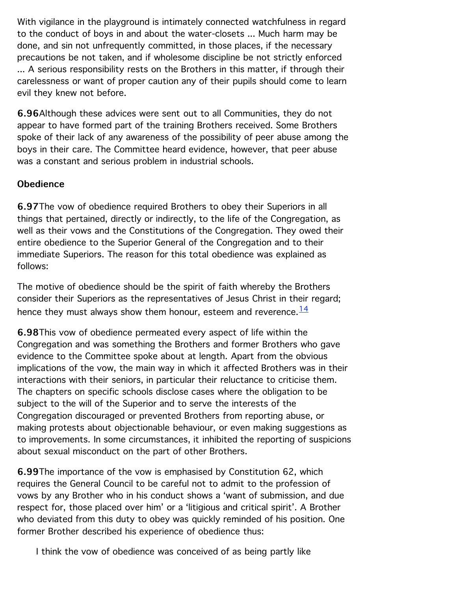With vigilance in the playground is intimately connected watchfulness in regard to the conduct of boys in and about the water-closets ... Much harm may be done, and sin not unfrequently committed, in those places, if the necessary precautions be not taken, and if wholesome discipline be not strictly enforced ... A serious responsibility rests on the Brothers in this matter, if through their carelessness or want of proper caution any of their pupils should come to learn evil they knew not before.

6.96Although these advices were sent out to all Communities, they do not appear to have formed part of the training Brothers received. Some Brothers spoke of their lack of any awareness of the possibility of peer abuse among the boys in their care. The Committee heard evidence, however, that peer abuse was a constant and serious problem in industrial schools.

#### **Obedience**

6.97The vow of obedience required Brothers to obey their Superiors in all things that pertained, directly or indirectly, to the life of the Congregation, as well as their vows and the Constitutions of the Congregation. They owed their entire obedience to the Superior General of the Congregation and to their immediate Superiors. The reason for this total obedience was explained as follows:

The motive of obedience should be the spirit of faith whereby the Brothers consider their Superiors as the representatives of Jesus Christ in their regard; hence they must always show them honour, esteem and reverence.  $14$ 

6.98This vow of obedience permeated every aspect of life within the Congregation and was something the Brothers and former Brothers who gave evidence to the Committee spoke about at length. Apart from the obvious implications of the vow, the main way in which it affected Brothers was in their interactions with their seniors, in particular their reluctance to criticise them. The chapters on specific schools disclose cases where the obligation to be subject to the will of the Superior and to serve the interests of the Congregation discouraged or prevented Brothers from reporting abuse, or making protests about objectionable behaviour, or even making suggestions as to improvements. In some circumstances, it inhibited the reporting of suspicions about sexual misconduct on the part of other Brothers.

6.99The importance of the vow is emphasised by Constitution 62, which requires the General Council to be careful not to admit to the profession of vows by any Brother who in his conduct shows a 'want of submission, and due respect for, those placed over him' or a 'litigious and critical spirit'. A Brother who deviated from this duty to obey was quickly reminded of his position. One former Brother described his experience of obedience thus:

I think the vow of obedience was conceived of as being partly like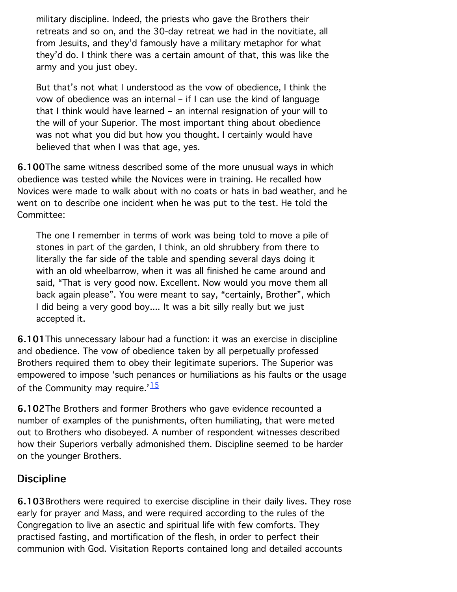military discipline. Indeed, the priests who gave the Brothers their retreats and so on, and the 30-day retreat we had in the novitiate, all from Jesuits, and they'd famously have a military metaphor for what they'd do. I think there was a certain amount of that, this was like the army and you just obey.

But that's not what I understood as the vow of obedience, I think the vow of obedience was an internal – if I can use the kind of language that I think would have learned – an internal resignation of your will to the will of your Superior. The most important thing about obedience was not what you did but how you thought. I certainly would have believed that when I was that age, yes.

6.100The same witness described some of the more unusual ways in which obedience was tested while the Novices were in training. He recalled how Novices were made to walk about with no coats or hats in bad weather, and he went on to describe one incident when he was put to the test. He told the Committee:

The one I remember in terms of work was being told to move a pile of stones in part of the garden, I think, an old shrubbery from there to literally the far side of the table and spending several days doing it with an old wheelbarrow, when it was all finished he came around and said, "That is very good now. Excellent. Now would you move them all back again please". You were meant to say, "certainly, Brother", which I did being a very good boy.... It was a bit silly really but we just accepted it.

6.101This unnecessary labour had a function: it was an exercise in discipline and obedience. The vow of obedience taken by all perpetually professed Brothers required them to obey their legitimate superiors. The Superior was empowered to impose 'such penances or humiliations as his faults or the usage of the Community may require.' $\frac{15}{15}$  $\frac{15}{15}$  $\frac{15}{15}$ 

6.102The Brothers and former Brothers who gave evidence recounted a number of examples of the punishments, often humiliating, that were meted out to Brothers who disobeyed. A number of respondent witnesses described how their Superiors verbally admonished them. Discipline seemed to be harder on the younger Brothers.

### **Discipline**

6.103Brothers were required to exercise discipline in their daily lives. They rose early for prayer and Mass, and were required according to the rules of the Congregation to live an asectic and spiritual life with few comforts. They practised fasting, and mortification of the flesh, in order to perfect their communion with God. Visitation Reports contained long and detailed accounts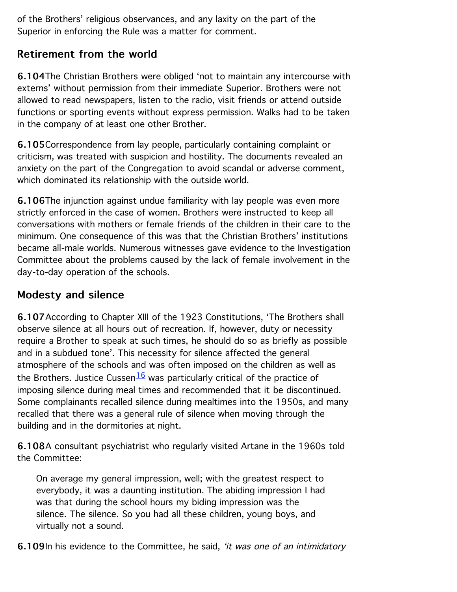of the Brothers' religious observances, and any laxity on the part of the Superior in enforcing the Rule was a matter for comment.

### Retirement from the world

6.104The Christian Brothers were obliged 'not to maintain any intercourse with externs' without permission from their immediate Superior. Brothers were not allowed to read newspapers, listen to the radio, visit friends or attend outside functions or sporting events without express permission. Walks had to be taken in the company of at least one other Brother.

6.105Correspondence from lay people, particularly containing complaint or criticism, was treated with suspicion and hostility. The documents revealed an anxiety on the part of the Congregation to avoid scandal or adverse comment, which dominated its relationship with the outside world.

6.106The injunction against undue familiarity with lay people was even more strictly enforced in the case of women. Brothers were instructed to keep all conversations with mothers or female friends of the children in their care to the minimum. One consequence of this was that the Christian Brothers' institutions became all-male worlds. Numerous witnesses gave evidence to the Investigation Committee about the problems caused by the lack of female involvement in the day-to-day operation of the schools.

### Modesty and silence

6.107According to Chapter XIII of the 1923 Constitutions, 'The Brothers shall observe silence at all hours out of recreation. If, however, duty or necessity require a Brother to speak at such times, he should do so as briefly as possible and in a subdued tone'. This necessity for silence affected the general atmosphere of the schools and was often imposed on the children as well as the Brothers. Justice Cussen<sup>16</sup> was particularly critical of the practice of imposing silence during meal times and recommended that it be discontinued. Some complainants recalled silence during mealtimes into the 1950s, and many recalled that there was a general rule of silence when moving through the building and in the dormitories at night.

6.108A consultant psychiatrist who regularly visited Artane in the 1960s told the Committee:

On average my general impression, well; with the greatest respect to everybody, it was a daunting institution. The abiding impression I had was that during the school hours my biding impression was the silence. The silence. So you had all these children, young boys, and virtually not a sound.

6.109In his evidence to the Committee, he said, 'it was one of an intimidatory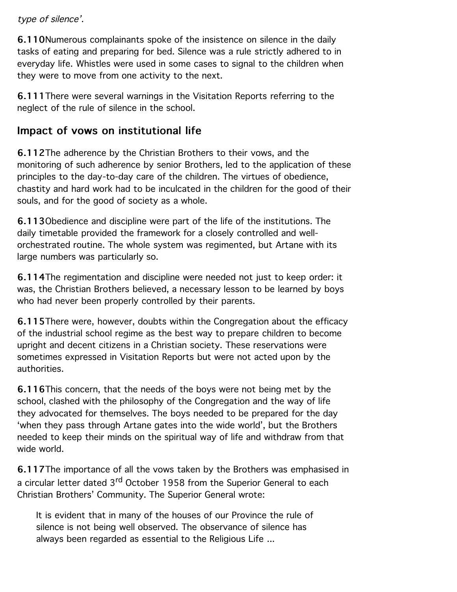#### type of silence'.

6.110Numerous complainants spoke of the insistence on silence in the daily tasks of eating and preparing for bed. Silence was a rule strictly adhered to in everyday life. Whistles were used in some cases to signal to the children when they were to move from one activity to the next.

6.111There were several warnings in the Visitation Reports referring to the neglect of the rule of silence in the school.

### Impact of vows on institutional life

6.112The adherence by the Christian Brothers to their vows, and the monitoring of such adherence by senior Brothers, led to the application of these principles to the day-to-day care of the children. The virtues of obedience, chastity and hard work had to be inculcated in the children for the good of their souls, and for the good of society as a whole.

6.113Obedience and discipline were part of the life of the institutions. The daily timetable provided the framework for a closely controlled and wellorchestrated routine. The whole system was regimented, but Artane with its large numbers was particularly so.

6.114The regimentation and discipline were needed not just to keep order: it was, the Christian Brothers believed, a necessary lesson to be learned by boys who had never been properly controlled by their parents.

6.115There were, however, doubts within the Congregation about the efficacy of the industrial school regime as the best way to prepare children to become upright and decent citizens in a Christian society. These reservations were sometimes expressed in Visitation Reports but were not acted upon by the authorities.

6.116This concern, that the needs of the boys were not being met by the school, clashed with the philosophy of the Congregation and the way of life they advocated for themselves. The boys needed to be prepared for the day 'when they pass through Artane gates into the wide world', but the Brothers needed to keep their minds on the spiritual way of life and withdraw from that wide world.

6.117The importance of all the vows taken by the Brothers was emphasised in a circular letter dated 3<sup>rd</sup> October 1958 from the Superior General to each Christian Brothers' Community. The Superior General wrote:

It is evident that in many of the houses of our Province the rule of silence is not being well observed. The observance of silence has always been regarded as essential to the Religious Life ...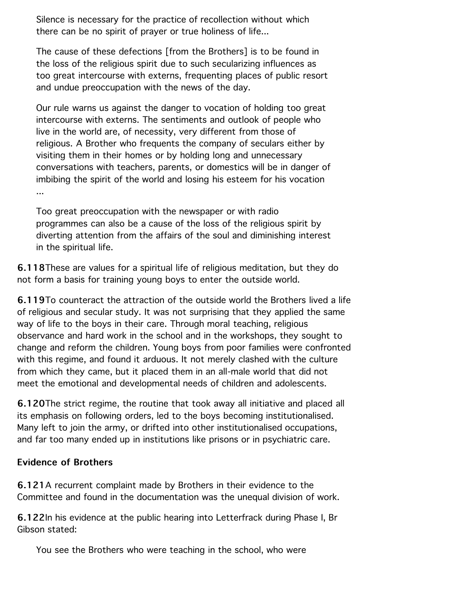Silence is necessary for the practice of recollection without which there can be no spirit of prayer or true holiness of life...

The cause of these defections [from the Brothers] is to be found in the loss of the religious spirit due to such secularizing influences as too great intercourse with externs, frequenting places of public resort and undue preoccupation with the news of the day.

Our rule warns us against the danger to vocation of holding too great intercourse with externs. The sentiments and outlook of people who live in the world are, of necessity, very different from those of religious. A Brother who frequents the company of seculars either by visiting them in their homes or by holding long and unnecessary conversations with teachers, parents, or domestics will be in danger of imbibing the spirit of the world and losing his esteem for his vocation ...

Too great preoccupation with the newspaper or with radio programmes can also be a cause of the loss of the religious spirit by diverting attention from the affairs of the soul and diminishing interest in the spiritual life.

6.118These are values for a spiritual life of religious meditation, but they do not form a basis for training young boys to enter the outside world.

6.119To counteract the attraction of the outside world the Brothers lived a life of religious and secular study. It was not surprising that they applied the same way of life to the boys in their care. Through moral teaching, religious observance and hard work in the school and in the workshops, they sought to change and reform the children. Young boys from poor families were confronted with this regime, and found it arduous. It not merely clashed with the culture from which they came, but it placed them in an all-male world that did not meet the emotional and developmental needs of children and adolescents.

6.120The strict regime, the routine that took away all initiative and placed all its emphasis on following orders, led to the boys becoming institutionalised. Many left to join the army, or drifted into other institutionalised occupations, and far too many ended up in institutions like prisons or in psychiatric care.

#### **Evidence of Brothers**

6.121A recurrent complaint made by Brothers in their evidence to the Committee and found in the documentation was the unequal division of work.

6.122In his evidence at the public hearing into Letterfrack during Phase I, Br Gibson stated:

You see the Brothers who were teaching in the school, who were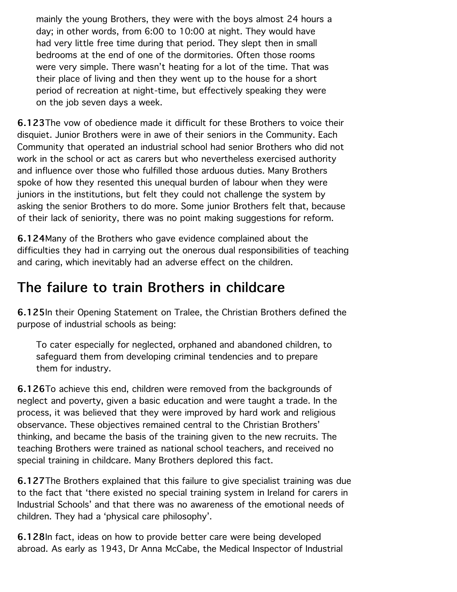mainly the young Brothers, they were with the boys almost 24 hours a day; in other words, from 6:00 to 10:00 at night. They would have had very little free time during that period. They slept then in small bedrooms at the end of one of the dormitories. Often those rooms were very simple. There wasn't heating for a lot of the time. That was their place of living and then they went up to the house for a short period of recreation at night-time, but effectively speaking they were on the job seven days a week.

6.123The vow of obedience made it difficult for these Brothers to voice their disquiet. Junior Brothers were in awe of their seniors in the Community. Each Community that operated an industrial school had senior Brothers who did not work in the school or act as carers but who nevertheless exercised authority and influence over those who fulfilled those arduous duties. Many Brothers spoke of how they resented this unequal burden of labour when they were juniors in the institutions, but felt they could not challenge the system by asking the senior Brothers to do more. Some junior Brothers felt that, because of their lack of seniority, there was no point making suggestions for reform.

6.124Many of the Brothers who gave evidence complained about the difficulties they had in carrying out the onerous dual responsibilities of teaching and caring, which inevitably had an adverse effect on the children.

### The failure to train Brothers in childcare

6.125In their Opening Statement on Tralee, the Christian Brothers defined the purpose of industrial schools as being:

To cater especially for neglected, orphaned and abandoned children, to safeguard them from developing criminal tendencies and to prepare them for industry.

6.126To achieve this end, children were removed from the backgrounds of neglect and poverty, given a basic education and were taught a trade. In the process, it was believed that they were improved by hard work and religious observance. These objectives remained central to the Christian Brothers' thinking, and became the basis of the training given to the new recruits. The teaching Brothers were trained as national school teachers, and received no special training in childcare. Many Brothers deplored this fact.

6.127The Brothers explained that this failure to give specialist training was due to the fact that 'there existed no special training system in Ireland for carers in Industrial Schools' and that there was no awareness of the emotional needs of children. They had a 'physical care philosophy'.

6.128In fact, ideas on how to provide better care were being developed abroad. As early as 1943, Dr Anna McCabe, the Medical Inspector of Industrial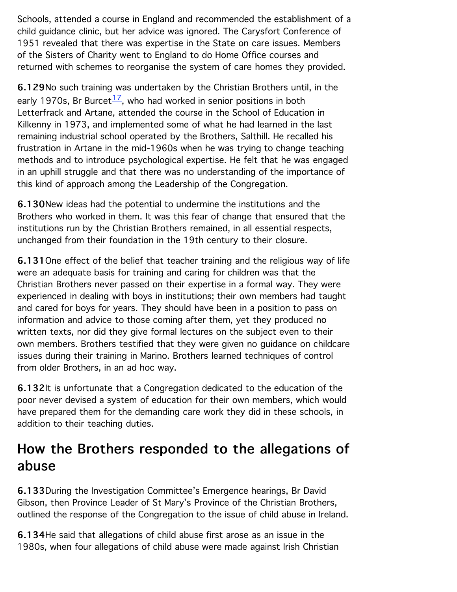Schools, attended a course in England and recommended the establishment of a child guidance clinic, but her advice was ignored. The Carysfort Conference of 1951 revealed that there was expertise in the State on care issues. Members of the Sisters of Charity went to England to do Home Office courses and returned with schemes to reorganise the system of care homes they provided.

6.129No such training was undertaken by the Christian Brothers until, in the early 1970s, Br Burcet<sup>[17](http://www.childabusecommission.ie/rpt/01-06.php#ftn.id17)</sup>, who had worked in senior positions in both Letterfrack and Artane, attended the course in the School of Education in Kilkenny in 1973, and implemented some of what he had learned in the last remaining industrial school operated by the Brothers, Salthill. He recalled his frustration in Artane in the mid-1960s when he was trying to change teaching methods and to introduce psychological expertise. He felt that he was engaged in an uphill struggle and that there was no understanding of the importance of this kind of approach among the Leadership of the Congregation.

6.130New ideas had the potential to undermine the institutions and the Brothers who worked in them. It was this fear of change that ensured that the institutions run by the Christian Brothers remained, in all essential respects, unchanged from their foundation in the 19th century to their closure.

6.131One effect of the belief that teacher training and the religious way of life were an adequate basis for training and caring for children was that the Christian Brothers never passed on their expertise in a formal way. They were experienced in dealing with boys in institutions; their own members had taught and cared for boys for years. They should have been in a position to pass on information and advice to those coming after them, yet they produced no written texts, nor did they give formal lectures on the subject even to their own members. Brothers testified that they were given no guidance on childcare issues during their training in Marino. Brothers learned techniques of control from older Brothers, in an ad hoc way.

6.132It is unfortunate that a Congregation dedicated to the education of the poor never devised a system of education for their own members, which would have prepared them for the demanding care work they did in these schools, in addition to their teaching duties.

# How the Brothers responded to the allegations of abuse

6.133During the Investigation Committee's Emergence hearings, Br David Gibson, then Province Leader of St Mary's Province of the Christian Brothers, outlined the response of the Congregation to the issue of child abuse in Ireland.

6.134He said that allegations of child abuse first arose as an issue in the 1980s, when four allegations of child abuse were made against Irish Christian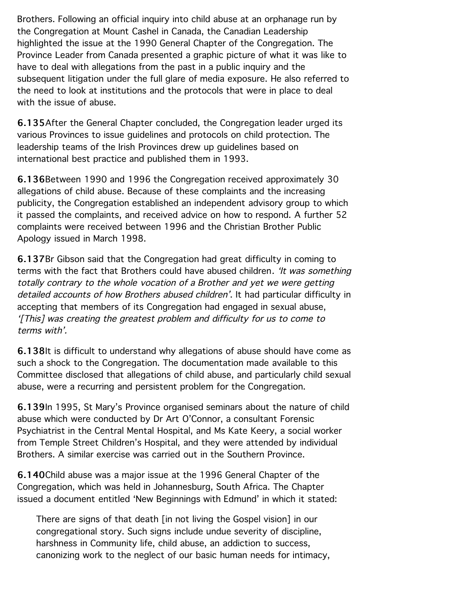Brothers. Following an official inquiry into child abuse at an orphanage run by the Congregation at Mount Cashel in Canada, the Canadian Leadership highlighted the issue at the 1990 General Chapter of the Congregation. The Province Leader from Canada presented a graphic picture of what it was like to have to deal with allegations from the past in a public inquiry and the subsequent litigation under the full glare of media exposure. He also referred to the need to look at institutions and the protocols that were in place to deal with the issue of abuse.

6.135After the General Chapter concluded, the Congregation leader urged its various Provinces to issue guidelines and protocols on child protection. The leadership teams of the Irish Provinces drew up guidelines based on international best practice and published them in 1993.

6.136Between 1990 and 1996 the Congregation received approximately 30 allegations of child abuse. Because of these complaints and the increasing publicity, the Congregation established an independent advisory group to which it passed the complaints, and received advice on how to respond. A further 52 complaints were received between 1996 and the Christian Brother Public Apology issued in March 1998.

6.137Br Gibson said that the Congregation had great difficulty in coming to terms with the fact that Brothers could have abused children. 'It was something totally contrary to the whole vocation of a Brother and yet we were getting detailed accounts of how Brothers abused children'. It had particular difficulty in accepting that members of its Congregation had engaged in sexual abuse, '[This] was creating the greatest problem and difficulty for us to come to terms with'.

6.138It is difficult to understand why allegations of abuse should have come as such a shock to the Congregation. The documentation made available to this Committee disclosed that allegations of child abuse, and particularly child sexual abuse, were a recurring and persistent problem for the Congregation.

6.139In 1995, St Mary's Province organised seminars about the nature of child abuse which were conducted by Dr Art O'Connor, a consultant Forensic Psychiatrist in the Central Mental Hospital, and Ms Kate Keery, a social worker from Temple Street Children's Hospital, and they were attended by individual Brothers. A similar exercise was carried out in the Southern Province.

6.140Child abuse was a major issue at the 1996 General Chapter of the Congregation, which was held in Johannesburg, South Africa. The Chapter issued a document entitled 'New Beginnings with Edmund' in which it stated:

There are signs of that death [in not living the Gospel vision] in our congregational story. Such signs include undue severity of discipline, harshness in Community life, child abuse, an addiction to success, canonizing work to the neglect of our basic human needs for intimacy,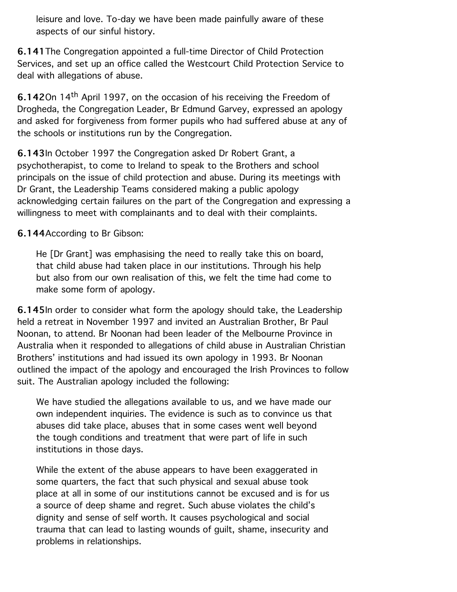leisure and love. To-day we have been made painfully aware of these aspects of our sinful history.

6.141The Congregation appointed a full-time Director of Child Protection Services, and set up an office called the Westcourt Child Protection Service to deal with allegations of abuse.

6.142On 14<sup>th</sup> April 1997, on the occasion of his receiving the Freedom of Drogheda, the Congregation Leader, Br Edmund Garvey, expressed an apology and asked for forgiveness from former pupils who had suffered abuse at any of the schools or institutions run by the Congregation.

6.143In October 1997 the Congregation asked Dr Robert Grant, a psychotherapist, to come to Ireland to speak to the Brothers and school principals on the issue of child protection and abuse. During its meetings with Dr Grant, the Leadership Teams considered making a public apology acknowledging certain failures on the part of the Congregation and expressing a willingness to meet with complainants and to deal with their complaints.

#### 6.144According to Br Gibson:

He [Dr Grant] was emphasising the need to really take this on board, that child abuse had taken place in our institutions. Through his help but also from our own realisation of this, we felt the time had come to make some form of apology.

6.145In order to consider what form the apology should take, the Leadership held a retreat in November 1997 and invited an Australian Brother, Br Paul Noonan, to attend. Br Noonan had been leader of the Melbourne Province in Australia when it responded to allegations of child abuse in Australian Christian Brothers' institutions and had issued its own apology in 1993. Br Noonan outlined the impact of the apology and encouraged the Irish Provinces to follow suit. The Australian apology included the following:

We have studied the allegations available to us, and we have made our own independent inquiries. The evidence is such as to convince us that abuses did take place, abuses that in some cases went well beyond the tough conditions and treatment that were part of life in such institutions in those days.

While the extent of the abuse appears to have been exaggerated in some quarters, the fact that such physical and sexual abuse took place at all in some of our institutions cannot be excused and is for us a source of deep shame and regret. Such abuse violates the child's dignity and sense of self worth. It causes psychological and social trauma that can lead to lasting wounds of guilt, shame, insecurity and problems in relationships.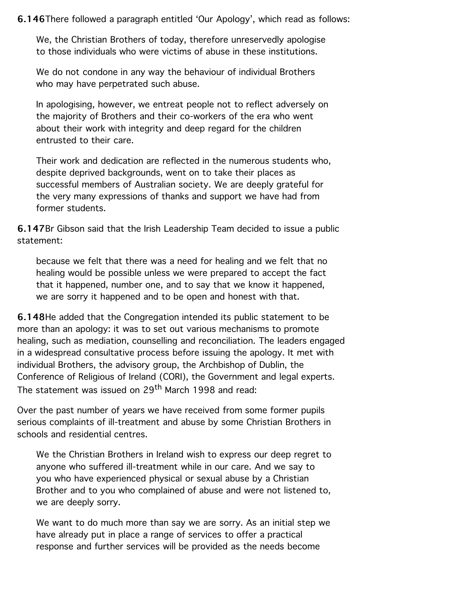6.146There followed a paragraph entitled 'Our Apology', which read as follows:

We, the Christian Brothers of today, therefore unreservedly apologise to those individuals who were victims of abuse in these institutions.

We do not condone in any way the behaviour of individual Brothers who may have perpetrated such abuse.

In apologising, however, we entreat people not to reflect adversely on the majority of Brothers and their co-workers of the era who went about their work with integrity and deep regard for the children entrusted to their care.

Their work and dedication are reflected in the numerous students who, despite deprived backgrounds, went on to take their places as successful members of Australian society. We are deeply grateful for the very many expressions of thanks and support we have had from former students.

6.147Br Gibson said that the Irish Leadership Team decided to issue a public statement:

because we felt that there was a need for healing and we felt that no healing would be possible unless we were prepared to accept the fact that it happened, number one, and to say that we know it happened, we are sorry it happened and to be open and honest with that.

6.148He added that the Congregation intended its public statement to be more than an apology: it was to set out various mechanisms to promote healing, such as mediation, counselling and reconciliation. The leaders engaged in a widespread consultative process before issuing the apology. It met with individual Brothers, the advisory group, the Archbishop of Dublin, the Conference of Religious of Ireland (CORI), the Government and legal experts. The statement was issued on 29<sup>th</sup> March 1998 and read:

Over the past number of years we have received from some former pupils serious complaints of ill-treatment and abuse by some Christian Brothers in schools and residential centres.

We the Christian Brothers in Ireland wish to express our deep regret to anyone who suffered ill-treatment while in our care. And we say to you who have experienced physical or sexual abuse by a Christian Brother and to you who complained of abuse and were not listened to, we are deeply sorry.

We want to do much more than say we are sorry. As an initial step we have already put in place a range of services to offer a practical response and further services will be provided as the needs become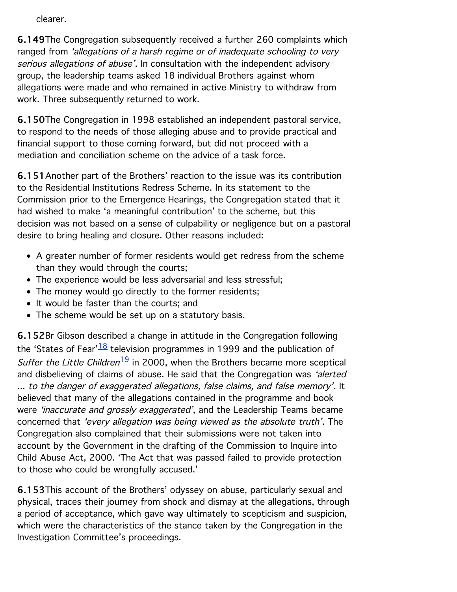clearer.

6.149The Congregation subsequently received a further 260 complaints which ranged from 'allegations of a harsh regime or of inadequate schooling to very serious allegations of abuse'. In consultation with the independent advisory group, the leadership teams asked 18 individual Brothers against whom allegations were made and who remained in active Ministry to withdraw from work. Three subsequently returned to work.

6.150The Congregation in 1998 established an independent pastoral service, to respond to the needs of those alleging abuse and to provide practical and financial support to those coming forward, but did not proceed with a mediation and conciliation scheme on the advice of a task force.

6.151Another part of the Brothers' reaction to the issue was its contribution to the Residential Institutions Redress Scheme. In its statement to the Commission prior to the Emergence Hearings, the Congregation stated that it had wished to make 'a meaningful contribution' to the scheme, but this decision was not based on a sense of culpability or negligence but on a pastoral desire to bring healing and closure. Other reasons included:

- A greater number of former residents would get redress from the scheme than they would through the courts;
- The experience would be less adversarial and less stressful;
- The money would go directly to the former residents;
- It would be faster than the courts; and
- The scheme would be set up on a statutory basis.

6.152Br Gibson described a change in attitude in the Congregation following the 'States of Fear'<sup>[18](http://www.childabusecommission.ie/rpt/01-06.php#ftn.id18)</sup> television programmes in 1999 and the publication of Suffer the Little Children<sup>[19](http://www.childabusecommission.ie/rpt/01-06.php#ftn.id19)</sup> in 2000, when the Brothers became more sceptical and disbelieving of claims of abuse. He said that the Congregation was 'alerted ... to the danger of exaggerated allegations, false claims, and false memory'. It believed that many of the allegations contained in the programme and book were *'inaccurate and grossly exaggerated'*, and the Leadership Teams became concerned that 'every allegation was being viewed as the absolute truth'. The Congregation also complained that their submissions were not taken into account by the Government in the drafting of the Commission to Inquire into Child Abuse Act, 2000. 'The Act that was passed failed to provide protection to those who could be wrongfully accused.'

6.153This account of the Brothers' odyssey on abuse, particularly sexual and physical, traces their journey from shock and dismay at the allegations, through a period of acceptance, which gave way ultimately to scepticism and suspicion, which were the characteristics of the stance taken by the Congregation in the Investigation Committee's proceedings.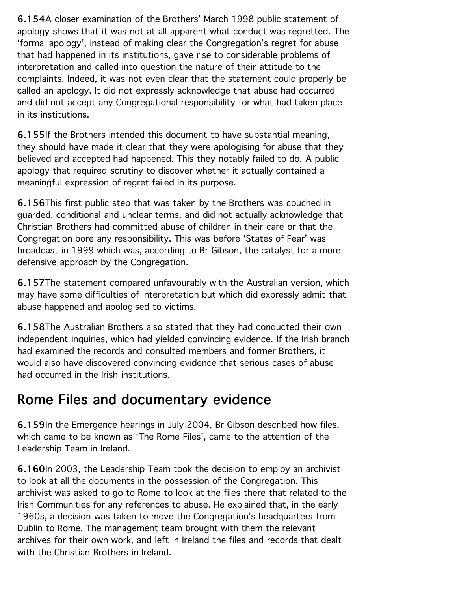6.154A closer examination of the Brothers' March 1998 public statement of apology shows that it was not at all apparent what conduct was regretted. The 'formal apology', instead of making clear the Congregation's regret for abuse that had happened in its institutions, gave rise to considerable problems of interpretation and called into question the nature of their attitude to the complaints. Indeed, it was not even clear that the statement could properly be called an apology. It did not expressly acknowledge that abuse had occurred and did not accept any Congregational responsibility for what had taken place in its institutions.

6.155If the Brothers intended this document to have substantial meaning, they should have made it clear that they were apologising for abuse that they believed and accepted had happened. This they notably failed to do. A public apology that required scrutiny to discover whether it actually contained a meaningful expression of regret failed in its purpose.

6.156This first public step that was taken by the Brothers was couched in guarded, conditional and unclear terms, and did not actually acknowledge that Christian Brothers had committed abuse of children in their care or that the Congregation bore any responsibility. This was before 'States of Fear' was broadcast in 1999 which was, according to Br Gibson, the catalyst for a more defensive approach by the Congregation.

6.157The statement compared unfavourably with the Australian version, which may have some difficulties of interpretation but which did expressly admit that abuse happened and apologised to victims.

6.158The Australian Brothers also stated that they had conducted their own independent inquiries, which had yielded convincing evidence. If the Irish branch had examined the records and consulted members and former Brothers, it would also have discovered convincing evidence that serious cases of abuse had occurred in the Irish institutions.

### Rome Files and documentary evidence

6.159In the Emergence hearings in July 2004, Br Gibson described how files, which came to be known as 'The Rome Files', came to the attention of the Leadership Team in Ireland.

6.160In 2003, the Leadership Team took the decision to employ an archivist to look at all the documents in the possession of the Congregation. This archivist was asked to go to Rome to look at the files there that related to the Irish Communities for any references to abuse. He explained that, in the early 1960s, a decision was taken to move the Congregation's headquarters from Dublin to Rome. The management team brought with them the relevant archives for their own work, and left in Ireland the files and records that dealt with the Christian Brothers in Ireland.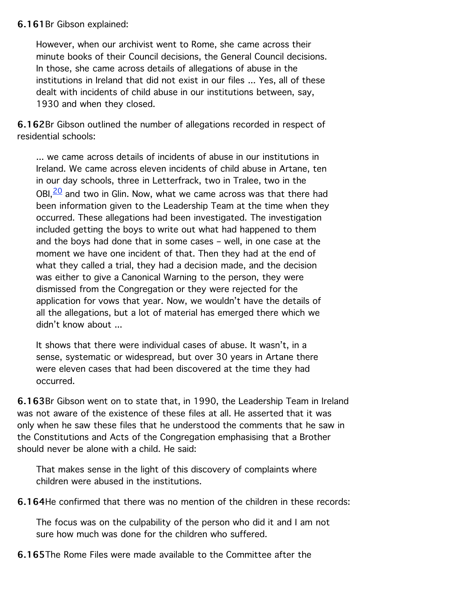#### 6.161Br Gibson explained:

However, when our archivist went to Rome, she came across their minute books of their Council decisions, the General Council decisions. In those, she came across details of allegations of abuse in the institutions in Ireland that did not exist in our files ... Yes, all of these dealt with incidents of child abuse in our institutions between, say, 1930 and when they closed.

6.162Br Gibson outlined the number of allegations recorded in respect of residential schools:

... we came across details of incidents of abuse in our institutions in Ireland. We came across eleven incidents of child abuse in Artane, ten in our day schools, three in Letterfrack, two in Tralee, two in the OBI, $\frac{20}{1}$  and two in Glin. Now, what we came across was that there had been information given to the Leadership Team at the time when they occurred. These allegations had been investigated. The investigation included getting the boys to write out what had happened to them and the boys had done that in some cases – well, in one case at the moment we have one incident of that. Then they had at the end of what they called a trial, they had a decision made, and the decision was either to give a Canonical Warning to the person, they were dismissed from the Congregation or they were rejected for the application for vows that year. Now, we wouldn't have the details of all the allegations, but a lot of material has emerged there which we didn't know about ...

It shows that there were individual cases of abuse. It wasn't, in a sense, systematic or widespread, but over 30 years in Artane there were eleven cases that had been discovered at the time they had occurred.

6.163Br Gibson went on to state that, in 1990, the Leadership Team in Ireland was not aware of the existence of these files at all. He asserted that it was only when he saw these files that he understood the comments that he saw in the Constitutions and Acts of the Congregation emphasising that a Brother should never be alone with a child. He said:

That makes sense in the light of this discovery of complaints where children were abused in the institutions.

6.164He confirmed that there was no mention of the children in these records:

The focus was on the culpability of the person who did it and I am not sure how much was done for the children who suffered.

6.165The Rome Files were made available to the Committee after the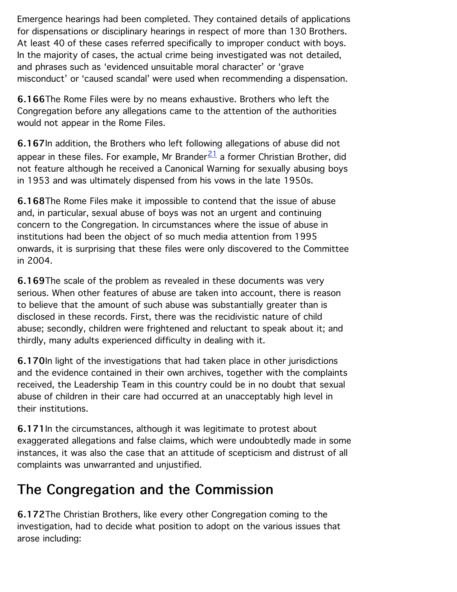Emergence hearings had been completed. They contained details of applications for dispensations or disciplinary hearings in respect of more than 130 Brothers. At least 40 of these cases referred specifically to improper conduct with boys. In the majority of cases, the actual crime being investigated was not detailed, and phrases such as 'evidenced unsuitable moral character' or 'grave misconduct' or 'caused scandal' were used when recommending a dispensation.

6.166The Rome Files were by no means exhaustive. Brothers who left the Congregation before any allegations came to the attention of the authorities would not appear in the Rome Files.

6.167In addition, the Brothers who left following allegations of abuse did not appear in these files. For example, Mr Brander $\frac{21}{1}$  $\frac{21}{1}$  $\frac{21}{1}$  a former Christian Brother, did not feature although he received a Canonical Warning for sexually abusing boys in 1953 and was ultimately dispensed from his vows in the late 1950s.

6.168The Rome Files make it impossible to contend that the issue of abuse and, in particular, sexual abuse of boys was not an urgent and continuing concern to the Congregation. In circumstances where the issue of abuse in institutions had been the object of so much media attention from 1995 onwards, it is surprising that these files were only discovered to the Committee in 2004.

6.169The scale of the problem as revealed in these documents was very serious. When other features of abuse are taken into account, there is reason to believe that the amount of such abuse was substantially greater than is disclosed in these records. First, there was the recidivistic nature of child abuse; secondly, children were frightened and reluctant to speak about it; and thirdly, many adults experienced difficulty in dealing with it.

6.170In light of the investigations that had taken place in other jurisdictions and the evidence contained in their own archives, together with the complaints received, the Leadership Team in this country could be in no doubt that sexual abuse of children in their care had occurred at an unacceptably high level in their institutions.

6.171In the circumstances, although it was legitimate to protest about exaggerated allegations and false claims, which were undoubtedly made in some instances, it was also the case that an attitude of scepticism and distrust of all complaints was unwarranted and unjustified.

# The Congregation and the Commission

6.172The Christian Brothers, like every other Congregation coming to the investigation, had to decide what position to adopt on the various issues that arose including: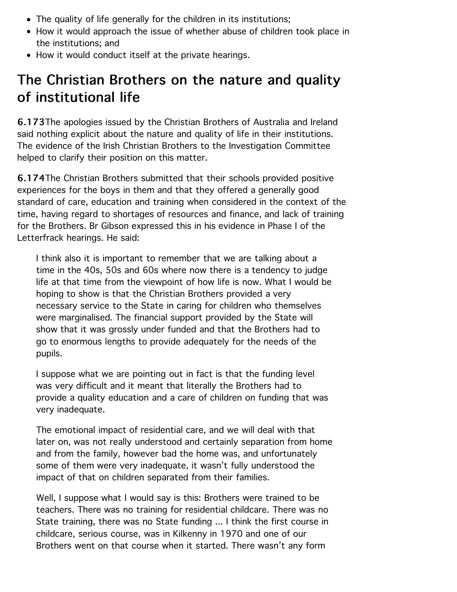- The quality of life generally for the children in its institutions;
- How it would approach the issue of whether abuse of children took place in the institutions; and
- How it would conduct itself at the private hearings.

# The Christian Brothers on the nature and quality of institutional life

6.173The apologies issued by the Christian Brothers of Australia and Ireland said nothing explicit about the nature and quality of life in their institutions. The evidence of the Irish Christian Brothers to the Investigation Committee helped to clarify their position on this matter.

6.174The Christian Brothers submitted that their schools provided positive experiences for the boys in them and that they offered a generally good standard of care, education and training when considered in the context of the time, having regard to shortages of resources and finance, and lack of training for the Brothers. Br Gibson expressed this in his evidence in Phase I of the Letterfrack hearings. He said:

I think also it is important to remember that we are talking about a time in the 40s, 50s and 60s where now there is a tendency to judge life at that time from the viewpoint of how life is now. What I would be hoping to show is that the Christian Brothers provided a very necessary service to the State in caring for children who themselves were marginalised. The financial support provided by the State will show that it was grossly under funded and that the Brothers had to go to enormous lengths to provide adequately for the needs of the pupils.

I suppose what we are pointing out in fact is that the funding level was very difficult and it meant that literally the Brothers had to provide a quality education and a care of children on funding that was very inadequate.

The emotional impact of residential care, and we will deal with that later on, was not really understood and certainly separation from home and from the family, however bad the home was, and unfortunately some of them were very inadequate, it wasn't fully understood the impact of that on children separated from their families.

Well, I suppose what I would say is this: Brothers were trained to be teachers. There was no training for residential childcare. There was no State training, there was no State funding ... I think the first course in childcare, serious course, was in Kilkenny in 1970 and one of our Brothers went on that course when it started. There wasn't any form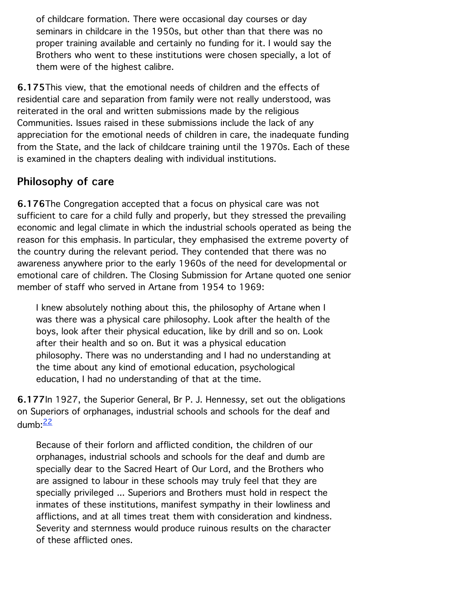of childcare formation. There were occasional day courses or day seminars in childcare in the 1950s, but other than that there was no proper training available and certainly no funding for it. I would say the Brothers who went to these institutions were chosen specially, a lot of them were of the highest calibre.

6.175This view, that the emotional needs of children and the effects of residential care and separation from family were not really understood, was reiterated in the oral and written submissions made by the religious Communities. Issues raised in these submissions include the lack of any appreciation for the emotional needs of children in care, the inadequate funding from the State, and the lack of childcare training until the 1970s. Each of these is examined in the chapters dealing with individual institutions.

### Philosophy of care

6.176The Congregation accepted that a focus on physical care was not sufficient to care for a child fully and properly, but they stressed the prevailing economic and legal climate in which the industrial schools operated as being the reason for this emphasis. In particular, they emphasised the extreme poverty of the country during the relevant period. They contended that there was no awareness anywhere prior to the early 1960s of the need for developmental or emotional care of children. The Closing Submission for Artane quoted one senior member of staff who served in Artane from 1954 to 1969:

I knew absolutely nothing about this, the philosophy of Artane when I was there was a physical care philosophy. Look after the health of the boys, look after their physical education, like by drill and so on. Look after their health and so on. But it was a physical education philosophy. There was no understanding and I had no understanding at the time about any kind of emotional education, psychological education, I had no understanding of that at the time.

6.177In 1927, the Superior General, Br P. J. Hennessy, set out the obligations on Superiors of orphanages, industrial schools and schools for the deaf and dumb: $\frac{22}{3}$  $\frac{22}{3}$  $\frac{22}{3}$ 

Because of their forlorn and afflicted condition, the children of our orphanages, industrial schools and schools for the deaf and dumb are specially dear to the Sacred Heart of Our Lord, and the Brothers who are assigned to labour in these schools may truly feel that they are specially privileged ... Superiors and Brothers must hold in respect the inmates of these institutions, manifest sympathy in their lowliness and afflictions, and at all times treat them with consideration and kindness. Severity and sternness would produce ruinous results on the character of these afflicted ones.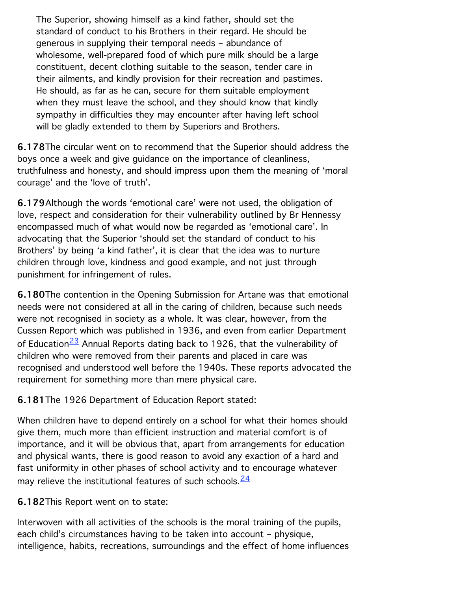The Superior, showing himself as a kind father, should set the standard of conduct to his Brothers in their regard. He should be generous in supplying their temporal needs – abundance of wholesome, well-prepared food of which pure milk should be a large constituent, decent clothing suitable to the season, tender care in their ailments, and kindly provision for their recreation and pastimes. He should, as far as he can, secure for them suitable employment when they must leave the school, and they should know that kindly sympathy in difficulties they may encounter after having left school will be gladly extended to them by Superiors and Brothers.

6.178The circular went on to recommend that the Superior should address the boys once a week and give guidance on the importance of cleanliness, truthfulness and honesty, and should impress upon them the meaning of 'moral courage' and the 'love of truth'.

6.179Although the words 'emotional care' were not used, the obligation of love, respect and consideration for their vulnerability outlined by Br Hennessy encompassed much of what would now be regarded as 'emotional care'. In advocating that the Superior 'should set the standard of conduct to his Brothers' by being 'a kind father', it is clear that the idea was to nurture children through love, kindness and good example, and not just through punishment for infringement of rules.

6.180The contention in the Opening Submission for Artane was that emotional needs were not considered at all in the caring of children, because such needs were not recognised in society as a whole. It was clear, however, from the Cussen Report which was published in 1936, and even from earlier Department of Education<sup>23</sup> Annual Reports dating back to 1926, that the vulnerability of children who were removed from their parents and placed in care was recognised and understood well before the 1940s. These reports advocated the requirement for something more than mere physical care.

6.181The 1926 Department of Education Report stated:

When children have to depend entirely on a school for what their homes should give them, much more than efficient instruction and material comfort is of importance, and it will be obvious that, apart from arrangements for education and physical wants, there is good reason to avoid any exaction of a hard and fast uniformity in other phases of school activity and to encourage whatever may relieve the institutional features of such schools.  $24$ 

6.182This Report went on to state:

Interwoven with all activities of the schools is the moral training of the pupils, each child's circumstances having to be taken into account – physique, intelligence, habits, recreations, surroundings and the effect of home influences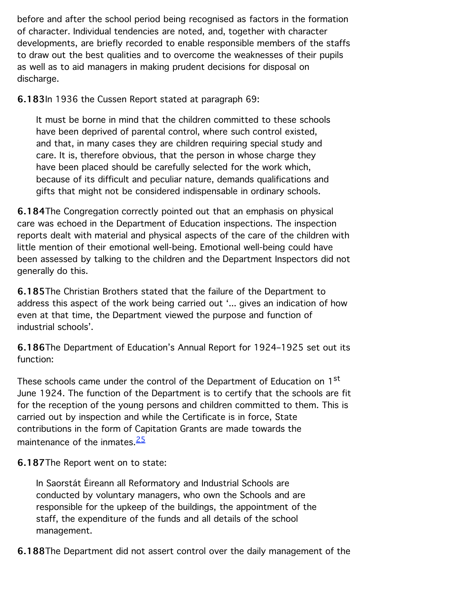before and after the school period being recognised as factors in the formation of character. Individual tendencies are noted, and, together with character developments, are briefly recorded to enable responsible members of the staffs to draw out the best qualities and to overcome the weaknesses of their pupils as well as to aid managers in making prudent decisions for disposal on discharge.

6.183In 1936 the Cussen Report stated at paragraph 69:

It must be borne in mind that the children committed to these schools have been deprived of parental control, where such control existed, and that, in many cases they are children requiring special study and care. It is, therefore obvious, that the person in whose charge they have been placed should be carefully selected for the work which, because of its difficult and peculiar nature, demands qualifications and gifts that might not be considered indispensable in ordinary schools.

6.184The Congregation correctly pointed out that an emphasis on physical care was echoed in the Department of Education inspections. The inspection reports dealt with material and physical aspects of the care of the children with little mention of their emotional well-being. Emotional well-being could have been assessed by talking to the children and the Department Inspectors did not generally do this.

6.185The Christian Brothers stated that the failure of the Department to address this aspect of the work being carried out '... gives an indication of how even at that time, the Department viewed the purpose and function of industrial schools'.

6.186The Department of Education's Annual Report for 1924–1925 set out its function:

These schools came under the control of the Department of Education on 1<sup>st</sup> June 1924. The function of the Department is to certify that the schools are fit for the reception of the young persons and children committed to them. This is carried out by inspection and while the Certificate is in force, State contributions in the form of Capitation Grants are made towards the maintenance of the inmates  $\frac{25}{5}$  $\frac{25}{5}$  $\frac{25}{5}$ 

6.187The Report went on to state:

In Saorstát Éireann all Reformatory and Industrial Schools are conducted by voluntary managers, who own the Schools and are responsible for the upkeep of the buildings, the appointment of the staff, the expenditure of the funds and all details of the school management.

6.188The Department did not assert control over the daily management of the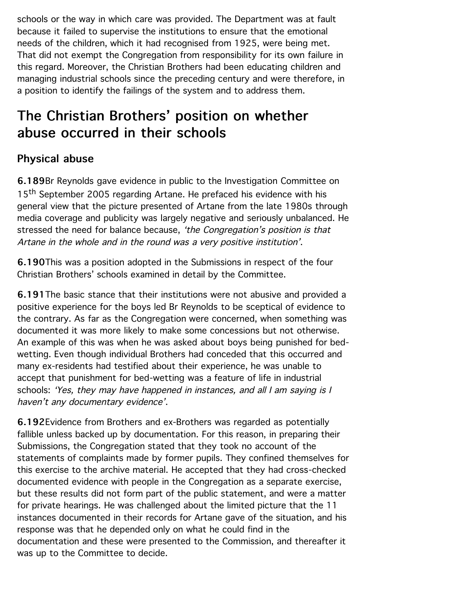schools or the way in which care was provided. The Department was at fault because it failed to supervise the institutions to ensure that the emotional needs of the children, which it had recognised from 1925, were being met. That did not exempt the Congregation from responsibility for its own failure in this regard. Moreover, the Christian Brothers had been educating children and managing industrial schools since the preceding century and were therefore, in a position to identify the failings of the system and to address them.

# The Christian Brothers' position on whether abuse occurred in their schools

### Physical abuse

6.189Br Reynolds gave evidence in public to the Investigation Committee on 15<sup>th</sup> September 2005 regarding Artane. He prefaced his evidence with his general view that the picture presented of Artane from the late 1980s through media coverage and publicity was largely negative and seriously unbalanced. He stressed the need for balance because, 'the Congregation's position is that Artane in the whole and in the round was a very positive institution'.

6.190This was a position adopted in the Submissions in respect of the four Christian Brothers' schools examined in detail by the Committee.

6.191The basic stance that their institutions were not abusive and provided a positive experience for the boys led Br Reynolds to be sceptical of evidence to the contrary. As far as the Congregation were concerned, when something was documented it was more likely to make some concessions but not otherwise. An example of this was when he was asked about boys being punished for bedwetting. Even though individual Brothers had conceded that this occurred and many ex-residents had testified about their experience, he was unable to accept that punishment for bed-wetting was a feature of life in industrial schools: 'Yes, they may have happened in instances, and all I am saying is I haven't any documentary evidence'.

6.192Evidence from Brothers and ex-Brothers was regarded as potentially fallible unless backed up by documentation. For this reason, in preparing their Submissions, the Congregation stated that they took no account of the statements of complaints made by former pupils. They confined themselves for this exercise to the archive material. He accepted that they had cross-checked documented evidence with people in the Congregation as a separate exercise, but these results did not form part of the public statement, and were a matter for private hearings. He was challenged about the limited picture that the 11 instances documented in their records for Artane gave of the situation, and his response was that he depended only on what he could find in the documentation and these were presented to the Commission, and thereafter it was up to the Committee to decide.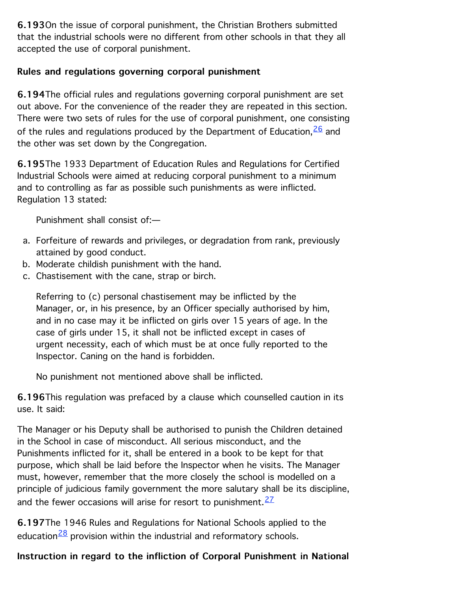6.193On the issue of corporal punishment, the Christian Brothers submitted that the industrial schools were no different from other schools in that they all accepted the use of corporal punishment.

#### Rules and regulations governing corporal punishment

6.194The official rules and regulations governing corporal punishment are set out above. For the convenience of the reader they are repeated in this section. There were two sets of rules for the use of corporal punishment, one consisting of the rules and regulations produced by the Department of Education. $\frac{26}{ }$  $\frac{26}{ }$  $\frac{26}{ }$  and the other was set down by the Congregation.

6.195The 1933 Department of Education Rules and Regulations for Certified Industrial Schools were aimed at reducing corporal punishment to a minimum and to controlling as far as possible such punishments as were inflicted. Regulation 13 stated:

Punishment shall consist of:—

- a. Forfeiture of rewards and privileges, or degradation from rank, previously attained by good conduct.
- b. Moderate childish punishment with the hand.
- c. Chastisement with the cane, strap or birch.

Referring to (c) personal chastisement may be inflicted by the Manager, or, in his presence, by an Officer specially authorised by him, and in no case may it be inflicted on girls over 15 years of age. In the case of girls under 15, it shall not be inflicted except in cases of urgent necessity, each of which must be at once fully reported to the Inspector. Caning on the hand is forbidden.

No punishment not mentioned above shall be inflicted.

6.196This regulation was prefaced by a clause which counselled caution in its use. It said:

The Manager or his Deputy shall be authorised to punish the Children detained in the School in case of misconduct. All serious misconduct, and the Punishments inflicted for it, shall be entered in a book to be kept for that purpose, which shall be laid before the Inspector when he visits. The Manager must, however, remember that the more closely the school is modelled on a principle of judicious family government the more salutary shall be its discipline, and the fewer occasions will arise for resort to punishment.  $27$ 

6.197The 1946 Rules and Regulations for National Schools applied to the education $\frac{28}{1}$  provision within the industrial and reformatory schools.

#### Instruction in regard to the infliction of Corporal Punishment in National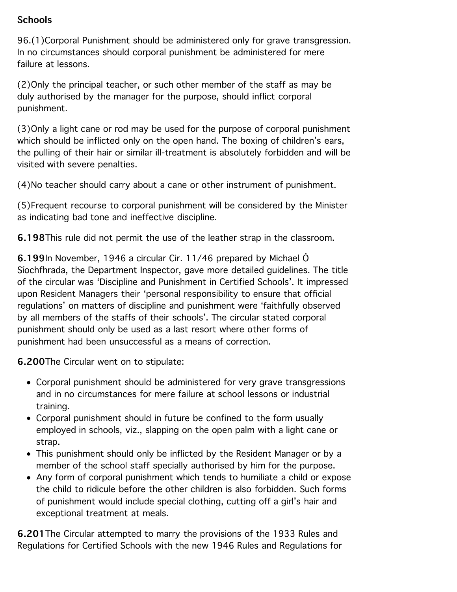#### Schools Schools Schools Schools Schools Schools Schools Schools Schools Schools Schools Schools Schools

96.(1)Corporal Punishment should be administered only for grave transgression. In no circumstances should corporal punishment be administered for mere failure at lessons.

(2)Only the principal teacher, or such other member of the staff as may be duly authorised by the manager for the purpose, should inflict corporal punishment.

(3)Only a light cane or rod may be used for the purpose of corporal punishment which should be inflicted only on the open hand. The boxing of children's ears, the pulling of their hair or similar ill-treatment is absolutely forbidden and will be visited with severe penalties.

(4)No teacher should carry about a cane or other instrument of punishment.

(5)Frequent recourse to corporal punishment will be considered by the Minister as indicating bad tone and ineffective discipline.

6.198This rule did not permit the use of the leather strap in the classroom.

6.199In November, 1946 a circular Cir. 11/46 prepared by Michael Ó Síochfhrada, the Department Inspector, gave more detailed guidelines. The title of the circular was 'Discipline and Punishment in Certified Schools'. It impressed upon Resident Managers their 'personal responsibility to ensure that official regulations' on matters of discipline and punishment were 'faithfully observed by all members of the staffs of their schools'. The circular stated corporal punishment should only be used as a last resort where other forms of punishment had been unsuccessful as a means of correction.

6.200The Circular went on to stipulate:

- Corporal punishment should be administered for very grave transgressions and in no circumstances for mere failure at school lessons or industrial training.
- Corporal punishment should in future be confined to the form usually employed in schools, viz., slapping on the open palm with a light cane or strap.
- This punishment should only be inflicted by the Resident Manager or by a member of the school staff specially authorised by him for the purpose.
- Any form of corporal punishment which tends to humiliate a child or expose the child to ridicule before the other children is also forbidden. Such forms of punishment would include special clothing, cutting off a girl's hair and exceptional treatment at meals.

6.201The Circular attempted to marry the provisions of the 1933 Rules and Regulations for Certified Schools with the new 1946 Rules and Regulations for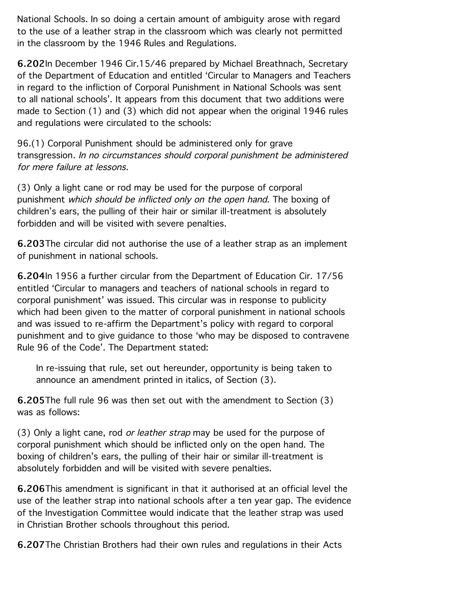National Schools. In so doing a certain amount of ambiguity arose with regard to the use of a leather strap in the classroom which was clearly not permitted in the classroom by the 1946 Rules and Regulations.

6.202In December 1946 Cir.15/46 prepared by Michael Breathnach, Secretary of the Department of Education and entitled 'Circular to Managers and Teachers in regard to the infliction of Corporal Punishment in National Schools was sent to all national schools'. It appears from this document that two additions were made to Section (1) and (3) which did not appear when the original 1946 rules and regulations were circulated to the schools:

96.(1) Corporal Punishment should be administered only for grave transgression. In no circumstances should corporal punishment be administered for mere failure at lessons.

(3) Only a light cane or rod may be used for the purpose of corporal punishment which should be inflicted only on the open hand. The boxing of children's ears, the pulling of their hair or similar ill-treatment is absolutely forbidden and will be visited with severe penalties.

6.203The circular did not authorise the use of a leather strap as an implement of punishment in national schools.

6.204In 1956 a further circular from the Department of Education Cir. 17/56 entitled 'Circular to managers and teachers of national schools in regard to corporal punishment' was issued. This circular was in response to publicity which had been given to the matter of corporal punishment in national schools and was issued to re-affirm the Department's policy with regard to corporal punishment and to give guidance to those 'who may be disposed to contravene Rule 96 of the Code'. The Department stated:

In re-issuing that rule, set out hereunder, opportunity is being taken to announce an amendment printed in italics, of Section (3).

6.205The full rule 96 was then set out with the amendment to Section (3) was as follows:

(3) Only a light cane, rod *or leather strap* may be used for the purpose of corporal punishment which should be inflicted only on the open hand. The boxing of children's ears, the pulling of their hair or similar ill-treatment is absolutely forbidden and will be visited with severe penalties.

6.206This amendment is significant in that it authorised at an official level the use of the leather strap into national schools after a ten year gap. The evidence of the Investigation Committee would indicate that the leather strap was used in Christian Brother schools throughout this period.

6.207The Christian Brothers had their own rules and regulations in their Acts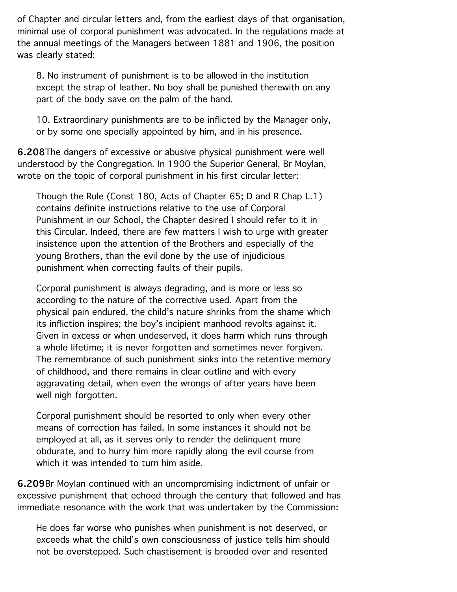of Chapter and circular letters and, from the earliest days of that organisation, minimal use of corporal punishment was advocated. In the regulations made at the annual meetings of the Managers between 1881 and 1906, the position was clearly stated:

8. No instrument of punishment is to be allowed in the institution except the strap of leather. No boy shall be punished therewith on any part of the body save on the palm of the hand.

10. Extraordinary punishments are to be inflicted by the Manager only, or by some one specially appointed by him, and in his presence.

6.208The dangers of excessive or abusive physical punishment were well understood by the Congregation. In 1900 the Superior General, Br Moylan, wrote on the topic of corporal punishment in his first circular letter:

Though the Rule (Const 180, Acts of Chapter 65; D and R Chap L.1) contains definite instructions relative to the use of Corporal Punishment in our School, the Chapter desired I should refer to it in this Circular. Indeed, there are few matters I wish to urge with greater insistence upon the attention of the Brothers and especially of the young Brothers, than the evil done by the use of injudicious punishment when correcting faults of their pupils.

Corporal punishment is always degrading, and is more or less so according to the nature of the corrective used. Apart from the physical pain endured, the child's nature shrinks from the shame which its infliction inspires; the boy's incipient manhood revolts against it. Given in excess or when undeserved, it does harm which runs through a whole lifetime; it is never forgotten and sometimes never forgiven. The remembrance of such punishment sinks into the retentive memory of childhood, and there remains in clear outline and with every aggravating detail, when even the wrongs of after years have been well nigh forgotten.

Corporal punishment should be resorted to only when every other means of correction has failed. In some instances it should not be employed at all, as it serves only to render the delinquent more obdurate, and to hurry him more rapidly along the evil course from which it was intended to turn him aside.

6.209Br Moylan continued with an uncompromising indictment of unfair or excessive punishment that echoed through the century that followed and has immediate resonance with the work that was undertaken by the Commission:

He does far worse who punishes when punishment is not deserved, or exceeds what the child's own consciousness of justice tells him should not be overstepped. Such chastisement is brooded over and resented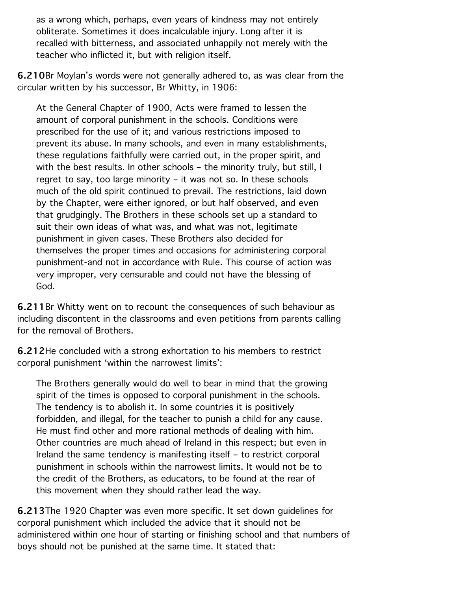as a wrong which, perhaps, even years of kindness may not entirely obliterate. Sometimes it does incalculable injury. Long after it is recalled with bitterness, and associated unhappily not merely with the teacher who inflicted it, but with religion itself.

6.210Br Moylan's words were not generally adhered to, as was clear from the circular written by his successor, Br Whitty, in 1906:

At the General Chapter of 1900, Acts were framed to lessen the amount of corporal punishment in the schools. Conditions were prescribed for the use of it; and various restrictions imposed to prevent its abuse. In many schools, and even in many establishments, these regulations faithfully were carried out, in the proper spirit, and with the best results. In other schools – the minority truly, but still, I regret to say, too large minority – it was not so. In these schools much of the old spirit continued to prevail. The restrictions, laid down by the Chapter, were either ignored, or but half observed, and even that grudgingly. The Brothers in these schools set up a standard to suit their own ideas of what was, and what was not, legitimate punishment in given cases. These Brothers also decided for themselves the proper times and occasions for administering corporal punishment-and not in accordance with Rule. This course of action was very improper, very censurable and could not have the blessing of God.

6.211Br Whitty went on to recount the consequences of such behaviour as including discontent in the classrooms and even petitions from parents calling for the removal of Brothers.

6.212He concluded with a strong exhortation to his members to restrict corporal punishment 'within the narrowest limits':

The Brothers generally would do well to bear in mind that the growing spirit of the times is opposed to corporal punishment in the schools. The tendency is to abolish it. In some countries it is positively forbidden, and illegal, for the teacher to punish a child for any cause. He must find other and more rational methods of dealing with him. Other countries are much ahead of Ireland in this respect; but even in Ireland the same tendency is manifesting itself – to restrict corporal punishment in schools within the narrowest limits. It would not be to the credit of the Brothers, as educators, to be found at the rear of this movement when they should rather lead the way.

6.213The 1920 Chapter was even more specific. It set down guidelines for corporal punishment which included the advice that it should not be administered within one hour of starting or finishing school and that numbers of boys should not be punished at the same time. It stated that: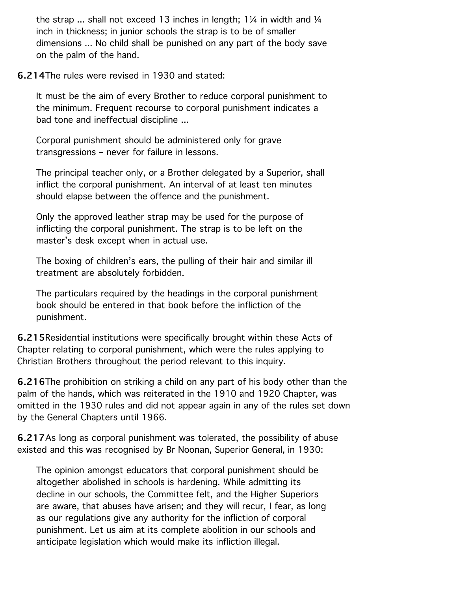the strap ... shall not exceed 13 inches in length;  $1\frac{1}{4}$  in width and  $\frac{1}{4}$ inch in thickness; in junior schools the strap is to be of smaller dimensions ... No child shall be punished on any part of the body save on the palm of the hand.

6.214The rules were revised in 1930 and stated:

It must be the aim of every Brother to reduce corporal punishment to the minimum. Frequent recourse to corporal punishment indicates a bad tone and ineffectual discipline ...

Corporal punishment should be administered only for grave transgressions – never for failure in lessons.

The principal teacher only, or a Brother delegated by a Superior, shall inflict the corporal punishment. An interval of at least ten minutes should elapse between the offence and the punishment.

Only the approved leather strap may be used for the purpose of inflicting the corporal punishment. The strap is to be left on the master's desk except when in actual use.

The boxing of children's ears, the pulling of their hair and similar ill treatment are absolutely forbidden.

The particulars required by the headings in the corporal punishment book should be entered in that book before the infliction of the punishment.

6.215Residential institutions were specifically brought within these Acts of Chapter relating to corporal punishment, which were the rules applying to Christian Brothers throughout the period relevant to this inquiry.

6.216The prohibition on striking a child on any part of his body other than the palm of the hands, which was reiterated in the 1910 and 1920 Chapter, was omitted in the 1930 rules and did not appear again in any of the rules set down by the General Chapters until 1966.

6.217As long as corporal punishment was tolerated, the possibility of abuse existed and this was recognised by Br Noonan, Superior General, in 1930:

The opinion amongst educators that corporal punishment should be altogether abolished in schools is hardening. While admitting its decline in our schools, the Committee felt, and the Higher Superiors are aware, that abuses have arisen; and they will recur, I fear, as long as our regulations give any authority for the infliction of corporal punishment. Let us aim at its complete abolition in our schools and anticipate legislation which would make its infliction illegal.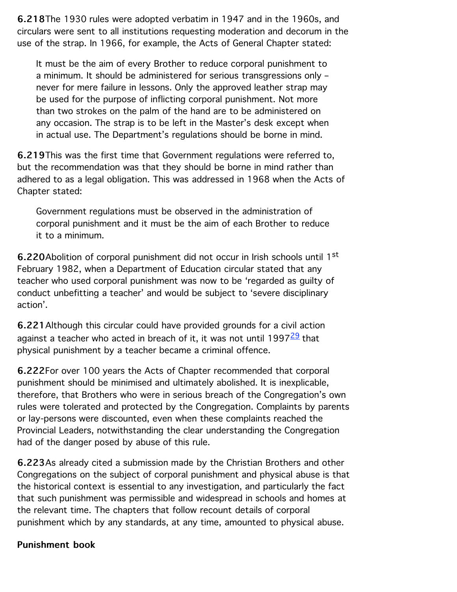6.218The 1930 rules were adopted verbatim in 1947 and in the 1960s, and circulars were sent to all institutions requesting moderation and decorum in the use of the strap. In 1966, for example, the Acts of General Chapter stated:

It must be the aim of every Brother to reduce corporal punishment to a minimum. It should be administered for serious transgressions only – never for mere failure in lessons. Only the approved leather strap may be used for the purpose of inflicting corporal punishment. Not more than two strokes on the palm of the hand are to be administered on any occasion. The strap is to be left in the Master's desk except when in actual use. The Department's regulations should be borne in mind.

6.219This was the first time that Government regulations were referred to, but the recommendation was that they should be borne in mind rather than adhered to as a legal obligation. This was addressed in 1968 when the Acts of Chapter stated:

Government regulations must be observed in the administration of corporal punishment and it must be the aim of each Brother to reduce it to a minimum.

6.220Abolition of corporal punishment did not occur in Irish schools until 1<sup>st</sup> February 1982, when a Department of Education circular stated that any teacher who used corporal punishment was now to be 'regarded as guilty of conduct unbefitting a teacher' and would be subject to 'severe disciplinary action'.

6.221Although this circular could have provided grounds for a civil action against a teacher who acted in breach of it, it was not until  $1997\frac{29}{1}$  $1997\frac{29}{1}$  $1997\frac{29}{1}$  that physical punishment by a teacher became a criminal offence.

6.222For over 100 years the Acts of Chapter recommended that corporal punishment should be minimised and ultimately abolished. It is inexplicable, therefore, that Brothers who were in serious breach of the Congregation's own rules were tolerated and protected by the Congregation. Complaints by parents or lay-persons were discounted, even when these complaints reached the Provincial Leaders, notwithstanding the clear understanding the Congregation had of the danger posed by abuse of this rule.

6.223As already cited a submission made by the Christian Brothers and other Congregations on the subject of corporal punishment and physical abuse is that the historical context is essential to any investigation, and particularly the fact that such punishment was permissible and widespread in schools and homes at the relevant time. The chapters that follow recount details of corporal punishment which by any standards, at any time, amounted to physical abuse.

#### Punishment book Punishment book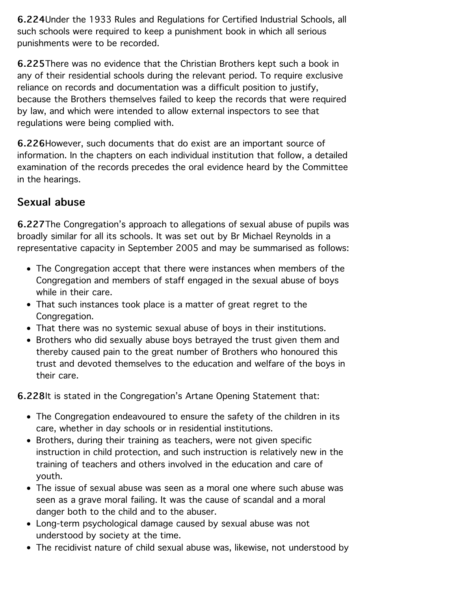6.224Under the 1933 Rules and Regulations for Certified Industrial Schools, all such schools were required to keep a punishment book in which all serious punishments were to be recorded.

6.225There was no evidence that the Christian Brothers kept such a book in any of their residential schools during the relevant period. To require exclusive reliance on records and documentation was a difficult position to justify, because the Brothers themselves failed to keep the records that were required by law, and which were intended to allow external inspectors to see that regulations were being complied with.

6.226However, such documents that do exist are an important source of information. In the chapters on each individual institution that follow, a detailed examination of the records precedes the oral evidence heard by the Committee in the hearings.

### Sexual abuse

6.227The Congregation's approach to allegations of sexual abuse of pupils was broadly similar for all its schools. It was set out by Br Michael Reynolds in a representative capacity in September 2005 and may be summarised as follows:

- The Congregation accept that there were instances when members of the Congregation and members of staff engaged in the sexual abuse of boys while in their care.
- That such instances took place is a matter of great regret to the Congregation.
- That there was no systemic sexual abuse of boys in their institutions.
- Brothers who did sexually abuse boys betrayed the trust given them and thereby caused pain to the great number of Brothers who honoured this trust and devoted themselves to the education and welfare of the boys in their care.

6.228It is stated in the Congregation's Artane Opening Statement that:

- The Congregation endeavoured to ensure the safety of the children in its care, whether in day schools or in residential institutions.
- Brothers, during their training as teachers, were not given specific instruction in child protection, and such instruction is relatively new in the training of teachers and others involved in the education and care of youth.
- The issue of sexual abuse was seen as a moral one where such abuse was seen as a grave moral failing. It was the cause of scandal and a moral danger both to the child and to the abuser.
- Long-term psychological damage caused by sexual abuse was not understood by society at the time.
- The recidivist nature of child sexual abuse was, likewise, not understood by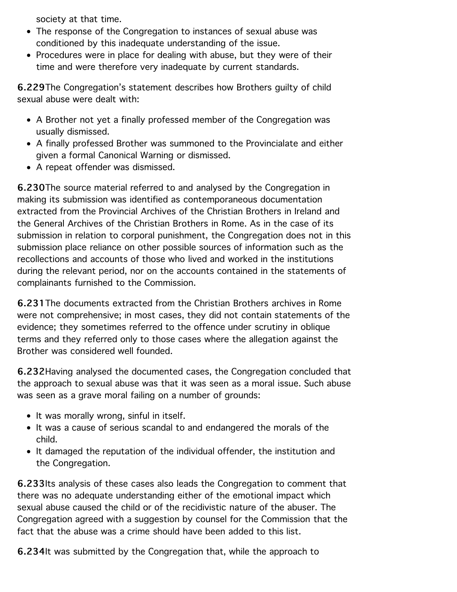society at that time.

- The response of the Congregation to instances of sexual abuse was conditioned by this inadequate understanding of the issue.
- Procedures were in place for dealing with abuse, but they were of their time and were therefore very inadequate by current standards.

6.229The Congregation's statement describes how Brothers guilty of child sexual abuse were dealt with:

- A Brother not yet a finally professed member of the Congregation was usually dismissed.
- A finally professed Brother was summoned to the Provincialate and either given a formal Canonical Warning or dismissed.
- A repeat offender was dismissed.

6.230The source material referred to and analysed by the Congregation in making its submission was identified as contemporaneous documentation extracted from the Provincial Archives of the Christian Brothers in Ireland and the General Archives of the Christian Brothers in Rome. As in the case of its submission in relation to corporal punishment, the Congregation does not in this submission place reliance on other possible sources of information such as the recollections and accounts of those who lived and worked in the institutions during the relevant period, nor on the accounts contained in the statements of complainants furnished to the Commission.

6.231The documents extracted from the Christian Brothers archives in Rome were not comprehensive; in most cases, they did not contain statements of the evidence; they sometimes referred to the offence under scrutiny in oblique terms and they referred only to those cases where the allegation against the Brother was considered well founded.

6.232Having analysed the documented cases, the Congregation concluded that the approach to sexual abuse was that it was seen as a moral issue. Such abuse was seen as a grave moral failing on a number of grounds:

- It was morally wrong, sinful in itself.
- It was a cause of serious scandal to and endangered the morals of the child.
- It damaged the reputation of the individual offender, the institution and the Congregation.

6.233Its analysis of these cases also leads the Congregation to comment that there was no adequate understanding either of the emotional impact which sexual abuse caused the child or of the recidivistic nature of the abuser. The Congregation agreed with a suggestion by counsel for the Commission that the fact that the abuse was a crime should have been added to this list.

6.234It was submitted by the Congregation that, while the approach to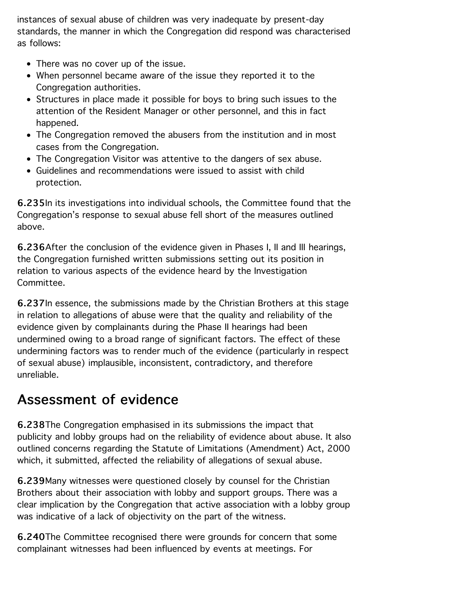instances of sexual abuse of children was very inadequate by present-day standards, the manner in which the Congregation did respond was characterised as follows:

- There was no cover up of the issue.
- When personnel became aware of the issue they reported it to the Congregation authorities.
- Structures in place made it possible for boys to bring such issues to the attention of the Resident Manager or other personnel, and this in fact happened.
- The Congregation removed the abusers from the institution and in most cases from the Congregation.
- The Congregation Visitor was attentive to the dangers of sex abuse.
- Guidelines and recommendations were issued to assist with child protection.

6.235In its investigations into individual schools, the Committee found that the Congregation's response to sexual abuse fell short of the measures outlined above.

6.236After the conclusion of the evidence given in Phases I, II and III hearings, the Congregation furnished written submissions setting out its position in relation to various aspects of the evidence heard by the Investigation Committee.

6.237In essence, the submissions made by the Christian Brothers at this stage in relation to allegations of abuse were that the quality and reliability of the evidence given by complainants during the Phase II hearings had been undermined owing to a broad range of significant factors. The effect of these undermining factors was to render much of the evidence (particularly in respect of sexual abuse) implausible, inconsistent, contradictory, and therefore unreliable.

# Assessment of evidence

6.238The Congregation emphasised in its submissions the impact that publicity and lobby groups had on the reliability of evidence about abuse. It also outlined concerns regarding the Statute of Limitations (Amendment) Act, 2000 which, it submitted, affected the reliability of allegations of sexual abuse.

6.239Many witnesses were questioned closely by counsel for the Christian Brothers about their association with lobby and support groups. There was a clear implication by the Congregation that active association with a lobby group was indicative of a lack of objectivity on the part of the witness.

6.240The Committee recognised there were grounds for concern that some complainant witnesses had been influenced by events at meetings. For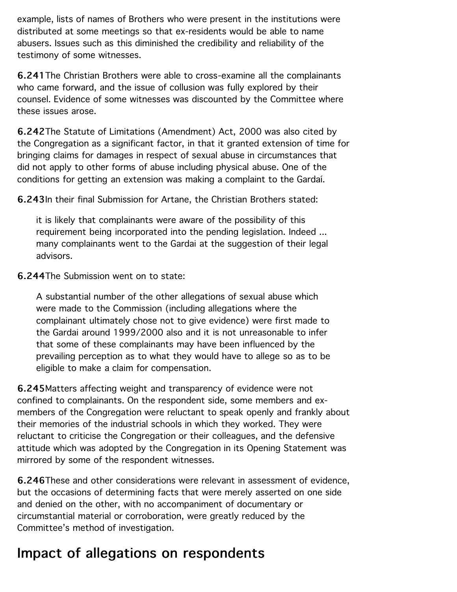example, lists of names of Brothers who were present in the institutions were distributed at some meetings so that ex-residents would be able to name abusers. Issues such as this diminished the credibility and reliability of the testimony of some witnesses.

6.241The Christian Brothers were able to cross-examine all the complainants who came forward, and the issue of collusion was fully explored by their counsel. Evidence of some witnesses was discounted by the Committee where these issues arose.

6.242The Statute of Limitations (Amendment) Act, 2000 was also cited by the Congregation as a significant factor, in that it granted extension of time for bringing claims for damages in respect of sexual abuse in circumstances that did not apply to other forms of abuse including physical abuse. One of the conditions for getting an extension was making a complaint to the Gardaí.

6.243In their final Submission for Artane, the Christian Brothers stated:

it is likely that complainants were aware of the possibility of this requirement being incorporated into the pending legislation. Indeed ... many complainants went to the Gardai at the suggestion of their legal advisors.

6.244The Submission went on to state:

A substantial number of the other allegations of sexual abuse which were made to the Commission (including allegations where the complainant ultimately chose not to give evidence) were first made to the Gardai around 1999/2000 also and it is not unreasonable to infer that some of these complainants may have been influenced by the prevailing perception as to what they would have to allege so as to be eligible to make a claim for compensation.

6.245Matters affecting weight and transparency of evidence were not confined to complainants. On the respondent side, some members and exmembers of the Congregation were reluctant to speak openly and frankly about their memories of the industrial schools in which they worked. They were reluctant to criticise the Congregation or their colleagues, and the defensive attitude which was adopted by the Congregation in its Opening Statement was mirrored by some of the respondent witnesses.

6.246These and other considerations were relevant in assessment of evidence, but the occasions of determining facts that were merely asserted on one side and denied on the other, with no accompaniment of documentary or circumstantial material or corroboration, were greatly reduced by the Committee's method of investigation.

# Impact of allegations on respondents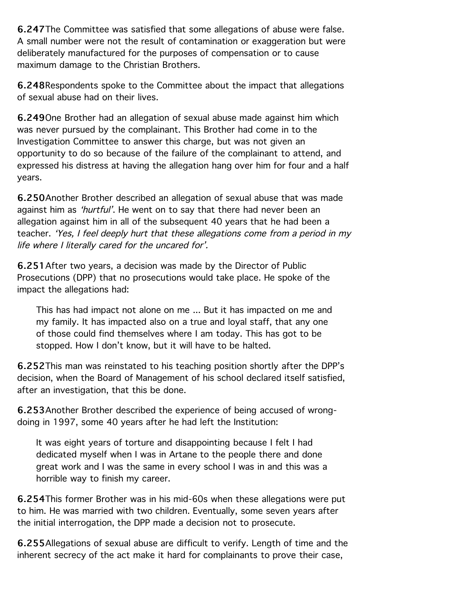6.247The Committee was satisfied that some allegations of abuse were false. A small number were not the result of contamination or exaggeration but were deliberately manufactured for the purposes of compensation or to cause maximum damage to the Christian Brothers.

6.248Respondents spoke to the Committee about the impact that allegations of sexual abuse had on their lives.

6.249One Brother had an allegation of sexual abuse made against him which was never pursued by the complainant. This Brother had come in to the Investigation Committee to answer this charge, but was not given an opportunity to do so because of the failure of the complainant to attend, and expressed his distress at having the allegation hang over him for four and a half years.

6.250Another Brother described an allegation of sexual abuse that was made against him as 'hurtful'. He went on to say that there had never been an allegation against him in all of the subsequent 40 years that he had been a teacher. 'Yes, I feel deeply hurt that these allegations come from a period in my life where I literally cared for the uncared for'.

6.251After two years, a decision was made by the Director of Public Prosecutions (DPP) that no prosecutions would take place. He spoke of the impact the allegations had:

This has had impact not alone on me ... But it has impacted on me and my family. It has impacted also on a true and loyal staff, that any one of those could find themselves where I am today. This has got to be stopped. How I don't know, but it will have to be halted.

6.252This man was reinstated to his teaching position shortly after the DPP's decision, when the Board of Management of his school declared itself satisfied, after an investigation, that this be done.

6.253Another Brother described the experience of being accused of wrongdoing in 1997, some 40 years after he had left the Institution:

It was eight years of torture and disappointing because I felt I had dedicated myself when I was in Artane to the people there and done great work and I was the same in every school I was in and this was a horrible way to finish my career.

6.254This former Brother was in his mid-60s when these allegations were put to him. He was married with two children. Eventually, some seven years after the initial interrogation, the DPP made a decision not to prosecute.

6.255Allegations of sexual abuse are difficult to verify. Length of time and the inherent secrecy of the act make it hard for complainants to prove their case,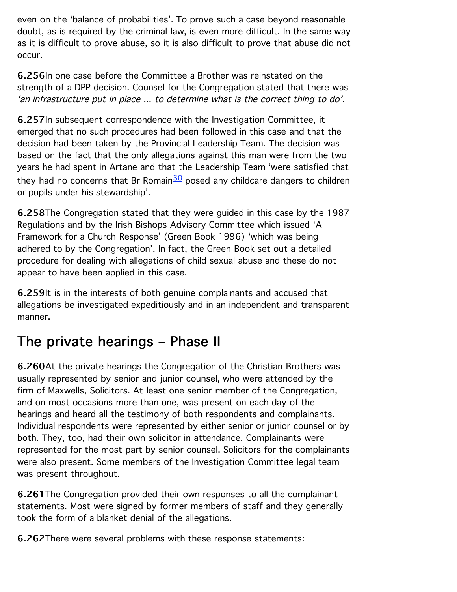even on the 'balance of probabilities'. To prove such a case beyond reasonable doubt, as is required by the criminal law, is even more difficult. In the same way as it is difficult to prove abuse, so it is also difficult to prove that abuse did not occur.

6.256In one case before the Committee a Brother was reinstated on the strength of a DPP decision. Counsel for the Congregation stated that there was 'an infrastructure put in place ... to determine what is the correct thing to do'.

6.257In subsequent correspondence with the Investigation Committee, it emerged that no such procedures had been followed in this case and that the decision had been taken by the Provincial Leadership Team. The decision was based on the fact that the only allegations against this man were from the two years he had spent in Artane and that the Leadership Team 'were satisfied that they had no concerns that Br Romain<sup>30</sup> posed any childcare dangers to children or pupils under his stewardship'.

6.258The Congregation stated that they were guided in this case by the 1987 Regulations and by the Irish Bishops Advisory Committee which issued 'A Framework for a Church Response' (Green Book 1996) 'which was being adhered to by the Congregation'. In fact, the Green Book set out a detailed procedure for dealing with allegations of child sexual abuse and these do not appear to have been applied in this case.

6.259It is in the interests of both genuine complainants and accused that allegations be investigated expeditiously and in an independent and transparent manner.

# The private hearings – Phase II

6.260At the private hearings the Congregation of the Christian Brothers was usually represented by senior and junior counsel, who were attended by the firm of Maxwells, Solicitors. At least one senior member of the Congregation, and on most occasions more than one, was present on each day of the hearings and heard all the testimony of both respondents and complainants. Individual respondents were represented by either senior or junior counsel or by both. They, too, had their own solicitor in attendance. Complainants were represented for the most part by senior counsel. Solicitors for the complainants were also present. Some members of the Investigation Committee legal team was present throughout.

6.261The Congregation provided their own responses to all the complainant statements. Most were signed by former members of staff and they generally took the form of a blanket denial of the allegations.

6.262There were several problems with these response statements: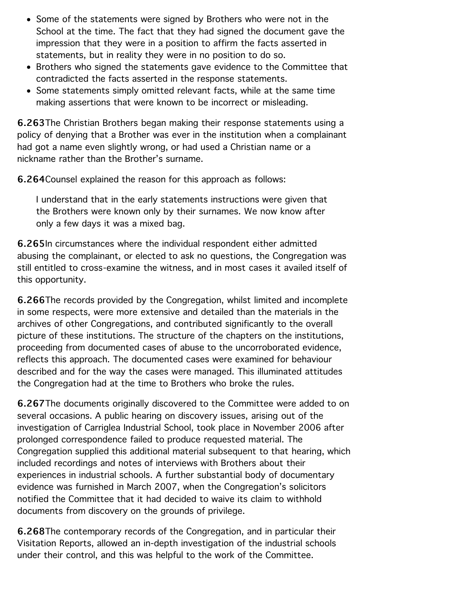- Some of the statements were signed by Brothers who were not in the School at the time. The fact that they had signed the document gave the impression that they were in a position to affirm the facts asserted in statements, but in reality they were in no position to do so.
- Brothers who signed the statements gave evidence to the Committee that contradicted the facts asserted in the response statements.
- Some statements simply omitted relevant facts, while at the same time making assertions that were known to be incorrect or misleading.

6.263The Christian Brothers began making their response statements using a policy of denying that a Brother was ever in the institution when a complainant had got a name even slightly wrong, or had used a Christian name or a nickname rather than the Brother's surname.

6.264Counsel explained the reason for this approach as follows:

I understand that in the early statements instructions were given that the Brothers were known only by their surnames. We now know after only a few days it was a mixed bag.

6.265In circumstances where the individual respondent either admitted abusing the complainant, or elected to ask no questions, the Congregation was still entitled to cross-examine the witness, and in most cases it availed itself of this opportunity.

6.266The records provided by the Congregation, whilst limited and incomplete in some respects, were more extensive and detailed than the materials in the archives of other Congregations, and contributed significantly to the overall picture of these institutions. The structure of the chapters on the institutions, proceeding from documented cases of abuse to the uncorroborated evidence, reflects this approach. The documented cases were examined for behaviour described and for the way the cases were managed. This illuminated attitudes the Congregation had at the time to Brothers who broke the rules.

6.267The documents originally discovered to the Committee were added to on several occasions. A public hearing on discovery issues, arising out of the investigation of Carriglea Industrial School, took place in November 2006 after prolonged correspondence failed to produce requested material. The Congregation supplied this additional material subsequent to that hearing, which included recordings and notes of interviews with Brothers about their experiences in industrial schools. A further substantial body of documentary evidence was furnished in March 2007, when the Congregation's solicitors notified the Committee that it had decided to waive its claim to withhold documents from discovery on the grounds of privilege.

6.268The contemporary records of the Congregation, and in particular their Visitation Reports, allowed an in-depth investigation of the industrial schools under their control, and this was helpful to the work of the Committee.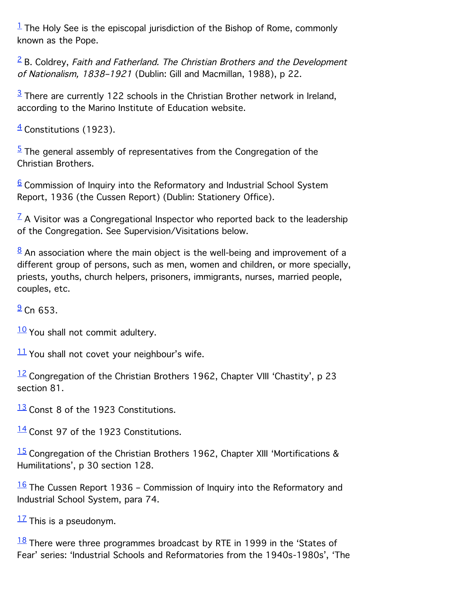$1$  The Holy See is the episcopal jurisdiction of the Bishop of Rome, commonly known as the Pope.

 $\frac{2}{3}$  $\frac{2}{3}$  $\frac{2}{3}$  B. Coldrey, Faith and Fatherland. The Christian Brothers and the Development of Nationalism, 1838–1921 (Dublin: Gill and Macmillan, 1988), p 22.

 $\frac{3}{2}$  $\frac{3}{2}$  $\frac{3}{2}$  There are currently 122 schools in the Christian Brother network in Ireland, according to the Marino Institute of Education website.

 $\frac{4}{1}$  $\frac{4}{1}$  $\frac{4}{1}$  Constitutions (1923).

 $\frac{5}{2}$  $\frac{5}{2}$  $\frac{5}{2}$  The general assembly of representatives from the Congregation of the Christian Brothers.

 $6$  Commission of Inquiry into the Reformatory and Industrial School System Report, 1936 (the Cussen Report) (Dublin: Stationery Office).

 $\overline{2}$  A Visitor was a Congregational Inspector who reported back to the leadership of the Congregation. See Supervision/Visitations below.

 $8$  An association where the main object is the well-being and improvement of a different group of persons, such as men, women and children, or more specially, priests, youths, church helpers, prisoners, immigrants, nurses, married people, couples, etc.

 $\frac{9}{2}$  $\frac{9}{2}$  $\frac{9}{2}$  Cn 653.

 $10$  You shall not commit adultery.

 $11$  You shall not covet your neighbour's wife.

 $12$  Congregation of the Christian Brothers 1962, Chapter VIII 'Chastity', p 23 section 81.

[13](http://www.childabusecommission.ie/rpt/01-06.php#ftnreturn.id13) Const 8 of the 1923 Constitutions.

[14](http://www.childabusecommission.ie/rpt/01-06.php#ftnreturn.id14) Const 97 of the 1923 Constitutions.

 $15$  Congregation of the Christian Brothers 1962, Chapter XIII 'Mortifications & Humilitations', p 30 section 128.

 $\frac{16}{16}$  $\frac{16}{16}$  $\frac{16}{16}$  The Cussen Report 1936 – Commission of Inquiry into the Reformatory and Industrial School System, para 74.

 $17$  This is a pseudonym.

 $18$  There were three programmes broadcast by RTE in 1999 in the 'States of Fear' series: 'Industrial Schools and Reformatories from the 1940s-1980s', 'The